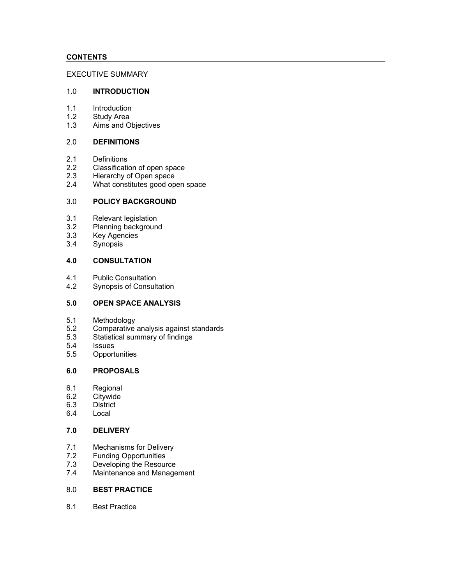### **CONTENTS**

### EXECUTIVE SUMMARY

### 1.0 **INTRODUCTION**

- 1.1 Introduction
- 1.2 Study Area
- 1.3 Aims and Objectives

## 2.0 **DEFINITIONS**

- 2.1 Definitions
- 2.2 Classification of open space<br>2.3 Hierarchy of Open space
- 2.3 Hierarchy of Open space<br>2.4 What constitutes good op
- What constitutes good open space

# 3.0 **POLICY BACKGROUND**

- 
- 3.1 Relevant legislation<br>3.2 Planning backgroune 3.2 Planning background<br>3.3 Key Agencies
- Key Agencies
- 3.4 Synopsis

### **4.0 CONSULTATION**

- 4.1 Public Consultation
- 4.2 Synopsis of Consultation

### **5.0 OPEN SPACE ANALYSIS**

- 5.1 Methodology<br>5.2 Comparative
- 5.2 Comparative analysis against standards<br>5.3 Statistical summary of findings
- Statistical summary of findings
- 5.4 Issues<br>5.5 Opport
- **Opportunities**

### **6.0 PROPOSALS**

- 6.1 Regional
- 6.2 Citywide
- 6.3 District<br>6.4 Local
- Local

### **7.0 DELIVERY**

- 7.1 Mechanisms for Delivery<br>7.2 Funding Opportunities
- **Funding Opportunities**
- 7.3 Developing the Resource
- 7.4 Maintenance and Management

# 8.0 **BEST PRACTICE**

8.1 Best Practice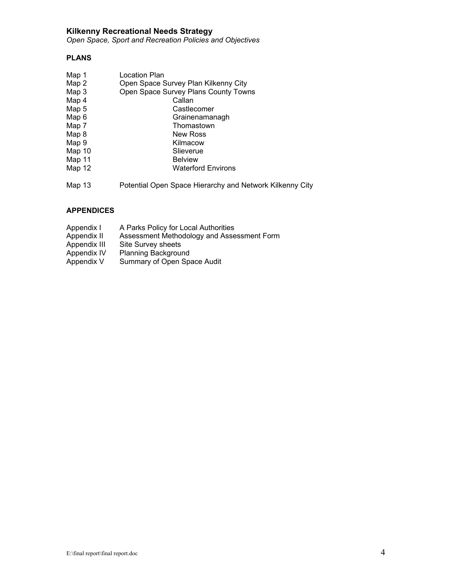*Open Space, Sport and Recreation Policies and Objectives* 

# **PLANS**

| Map 1  | Location Plan                        |
|--------|--------------------------------------|
| Map 2  | Open Space Survey Plan Kilkenny City |
| Map 3  | Open Space Survey Plans County Towns |
| Map 4  | Callan                               |
| Map 5  | Castlecomer                          |
| Map 6  | Grainenamanagh                       |
| Map 7  | Thomastown                           |
| Map 8  | <b>New Ross</b>                      |
| Map 9  | Kilmacow                             |
| Map 10 | Slieverue                            |
| Map 11 | <b>Belview</b>                       |
| Map 12 | <b>Waterford Environs</b>            |
|        |                                      |
|        |                                      |

# Map 13 Potential Open Space Hierarchy and Network Kilkenny City

# **APPENDICES**

| Appendix I   | A Parks Policy for Local Authorities       |
|--------------|--------------------------------------------|
| Appendix II  | Assessment Methodology and Assessment Form |
| Appendix III | Site Survey sheets                         |
| Appendix IV  | <b>Planning Background</b>                 |
| Appendix V   | Summary of Open Space Audit                |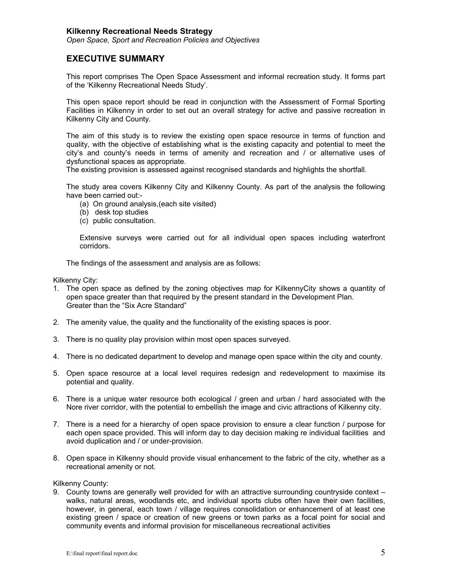*Open Space, Sport and Recreation Policies and Objectives* 

# **EXECUTIVE SUMMARY**

This report comprises The Open Space Assessment and informal recreation study. It forms part of the 'Kilkenny Recreational Needs Study'.

This open space report should be read in conjunction with the Assessment of Formal Sporting Facilities in Kilkenny in order to set out an overall strategy for active and passive recreation in Kilkenny City and County.

The aim of this study is to review the existing open space resource in terms of function and quality, with the objective of establishing what is the existing capacity and potential to meet the city's and county's needs in terms of amenity and recreation and / or alternative uses of dysfunctional spaces as appropriate.

The existing provision is assessed against recognised standards and highlights the shortfall.

The study area covers Kilkenny City and Kilkenny County. As part of the analysis the following have been carried out:-

- (a) On ground analysis,(each site visited)
- (b) desk top studies
- (c) public consultation.

Extensive surveys were carried out for all individual open spaces including waterfront corridors.

The findings of the assessment and analysis are as follows:

Kilkenny City:

- 1. The open space as defined by the zoning objectives map for KilkennyCity shows a quantity of open space greater than that required by the present standard in the Development Plan. Greater than the "Six Acre Standard"
- 2. The amenity value, the quality and the functionality of the existing spaces is poor.
- 3. There is no quality play provision within most open spaces surveyed.
- 4. There is no dedicated department to develop and manage open space within the city and county.
- 5. Open space resource at a local level requires redesign and redevelopment to maximise its potential and quality.
- 6. There is a unique water resource both ecological / green and urban / hard associated with the Nore river corridor, with the potential to embellish the image and civic attractions of Kilkenny city.
- 7. There is a need for a hierarchy of open space provision to ensure a clear function / purpose for each open space provided. This will inform day to day decision making re individual facilities and avoid duplication and / or under-provision.
- 8. Open space in Kilkenny should provide visual enhancement to the fabric of the city, whether as a recreational amenity or not.

Kilkenny County:

9. County towns are generally well provided for with an attractive surrounding countryside context – walks, natural areas, woodlands etc, and individual sports clubs often have their own facilities, however, in general, each town / village requires consolidation or enhancement of at least one existing green / space or creation of new greens or town parks as a focal point for social and community events and informal provision for miscellaneous recreational activities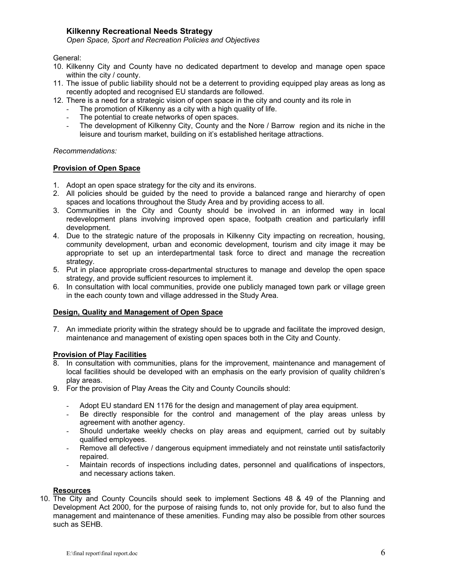*Open Space, Sport and Recreation Policies and Objectives* 

General:

- 10. Kilkenny City and County have no dedicated department to develop and manage open space within the city / county.
- 11. The issue of public liability should not be a deterrent to providing equipped play areas as long as recently adopted and recognised EU standards are followed.
- 12. There is a need for a strategic vision of open space in the city and county and its role in
	- The promotion of Kilkenny as a city with a high quality of life.
	- The potential to create networks of open spaces.
	- The development of Kilkenny City, County and the Nore / Barrow region and its niche in the leisure and tourism market, building on it's established heritage attractions.

### *Recommendations:*

### **Provision of Open Space**

- 1. Adopt an open space strategy for the city and its environs.
- 2. All policies should be guided by the need to provide a balanced range and hierarchy of open spaces and locations throughout the Study Area and by providing access to all.
- 3. Communities in the City and County should be involved in an informed way in local redevelopment plans involving improved open space, footpath creation and particularly infill development.
- 4. Due to the strategic nature of the proposals in Kilkenny City impacting on recreation, housing, community development, urban and economic development, tourism and city image it may be appropriate to set up an interdepartmental task force to direct and manage the recreation strategy.
- 5. Put in place appropriate cross-departmental structures to manage and develop the open space strategy, and provide sufficient resources to implement it.
- 6. In consultation with local communities, provide one publicly managed town park or village green in the each county town and village addressed in the Study Area.

# **Design, Quality and Management of Open Space**

7. An immediate priority within the strategy should be to upgrade and facilitate the improved design, maintenance and management of existing open spaces both in the City and County.

### **Provision of Play Facilities**

- 8. In consultation with communities, plans for the improvement, maintenance and management of local facilities should be developed with an emphasis on the early provision of quality children's play areas.
- 9. For the provision of Play Areas the City and County Councils should:
	- Adopt EU standard EN 1176 for the design and management of play area equipment.
	- Be directly responsible for the control and management of the play areas unless by agreement with another agency.
	- Should undertake weekly checks on play areas and equipment, carried out by suitably qualified employees.
	- Remove all defective / dangerous equipment immediately and not reinstate until satisfactorily repaired.
	- Maintain records of inspections including dates, personnel and qualifications of inspectors, and necessary actions taken.

### **Resources**

10. The City and County Councils should seek to implement Sections 48 & 49 of the Planning and Development Act 2000, for the purpose of raising funds to, not only provide for, but to also fund the management and maintenance of these amenities. Funding may also be possible from other sources such as SEHB.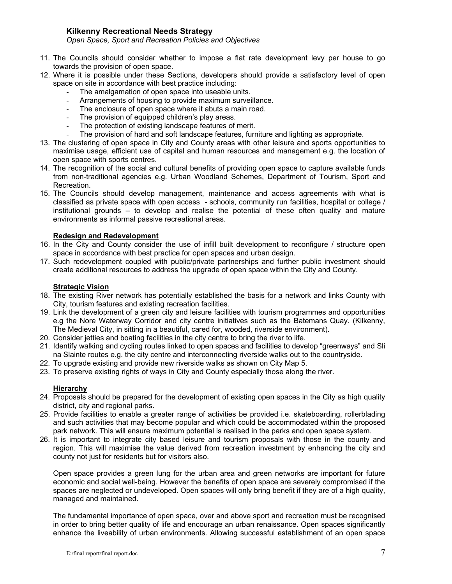*Open Space, Sport and Recreation Policies and Objectives* 

- 11. The Councils should consider whether to impose a flat rate development levy per house to go towards the provision of open space.
- 12. Where it is possible under these Sections, developers should provide a satisfactory level of open space on site in accordance with best practice including:
	- The amalgamation of open space into useable units.
	- Arrangements of housing to provide maximum surveillance.
	- The enclosure of open space where it abuts a main road.
	- The provision of equipped children's play areas.
	- The protection of existing landscape features of merit.
	- The provision of hard and soft landscape features, furniture and lighting as appropriate.
- 13. The clustering of open space in City and County areas with other leisure and sports opportunities to maximise usage, efficient use of capital and human resources and management e.g. the location of open space with sports centres.
- 14. The recognition of the social and cultural benefits of providing open space to capture available funds from non-traditional agencies e.g. Urban Woodland Schemes, Department of Tourism, Sport and Recreation.
- 15. The Councils should develop management, maintenance and access agreements with what is classified as private space with open access - schools, community run facilities, hospital or college / institutional grounds – to develop and realise the potential of these often quality and mature environments as informal passive recreational areas.

### **Redesign and Redevelopment**

- 16. In the City and County consider the use of infill built development to reconfigure / structure open space in accordance with best practice for open spaces and urban design.
- 17. Such redevelopment coupled with public/private partnerships and further public investment should create additional resources to address the upgrade of open space within the City and County.

### **Strategic Vision**

- 18. The existing River network has potentially established the basis for a network and links County with City, tourism features and existing recreation facilities.
- 19. Link the development of a green city and leisure facilities with tourism programmes and opportunities e.g the Nore Waterway Corridor and city centre initiatives such as the Batemans Quay. (Kilkenny, The Medieval City, in sitting in a beautiful, cared for, wooded, riverside environment).
- 20. Consider jetties and boating facilities in the city centre to bring the river to life.
- 21. Identify walking and cycling routes linked to open spaces and facilities to develop "greenways" and Sli na Slainte routes e.g. the city centre and interconnecting riverside walks out to the countryside.
- 22. To upgrade existing and provide new riverside walks as shown on City Map 5.
- 23. To preserve existing rights of ways in City and County especially those along the river.

### **Hierarchy**

- 24. Proposals should be prepared for the development of existing open spaces in the City as high quality district, city and regional parks.
- 25. Provide facilities to enable a greater range of activities be provided i.e. skateboarding, rollerblading and such activities that may become popular and which could be accommodated within the proposed park network. This will ensure maximum potential is realised in the parks and open space system.
- 26. It is important to integrate city based leisure and tourism proposals with those in the county and region. This will maximise the value derived from recreation investment by enhancing the city and county not just for residents but for visitors also.

Open space provides a green lung for the urban area and green networks are important for future economic and social well-being. However the benefits of open space are severely compromised if the spaces are neglected or undeveloped. Open spaces will only bring benefit if they are of a high quality, managed and maintained.

The fundamental importance of open space, over and above sport and recreation must be recognised in order to bring better quality of life and encourage an urban renaissance. Open spaces significantly enhance the liveability of urban environments. Allowing successful establishment of an open space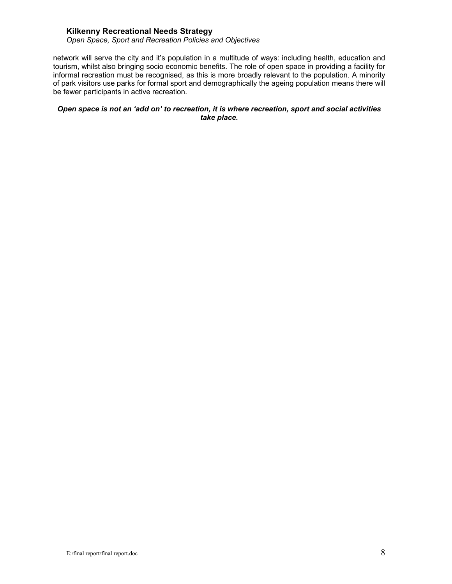*Open Space, Sport and Recreation Policies and Objectives* 

network will serve the city and it's population in a multitude of ways: including health, education and tourism, whilst also bringing socio economic benefits. The role of open space in providing a facility for informal recreation must be recognised, as this is more broadly relevant to the population. A minority of park visitors use parks for formal sport and demographically the ageing population means there will be fewer participants in active recreation.

### *Open space is not an 'add on' to recreation, it is where recreation, sport and social activities take place.*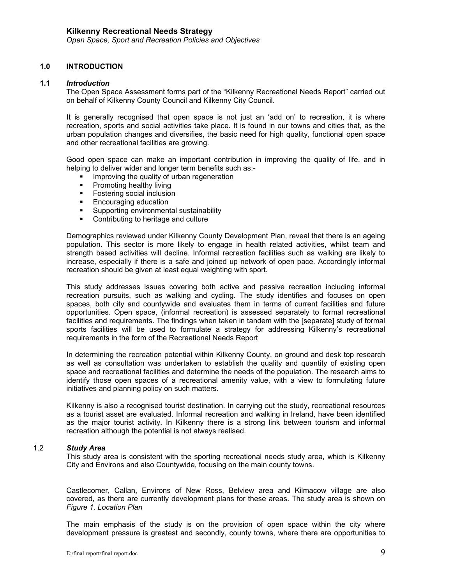*Open Space, Sport and Recreation Policies and Objectives* 

## **1.0 INTRODUCTION**

### **1.1** *Introduction*

The Open Space Assessment forms part of the "Kilkenny Recreational Needs Report" carried out on behalf of Kilkenny County Council and Kilkenny City Council.

It is generally recognised that open space is not just an 'add on' to recreation, it is where recreation, sports and social activities take place. It is found in our towns and cities that, as the urban population changes and diversifies, the basic need for high quality, functional open space and other recreational facilities are growing.

Good open space can make an important contribution in improving the quality of life, and in helping to deliver wider and longer term benefits such as:-

- Improving the quality of urban regeneration
- Promoting healthy living
- **Fostering social inclusion**
- **Encouraging education**
- **Supporting environmental sustainability**
- **•** Contributing to heritage and culture

Demographics reviewed under Kilkenny County Development Plan, reveal that there is an ageing population. This sector is more likely to engage in health related activities, whilst team and strength based activities will decline. Informal recreation facilities such as walking are likely to increase, especially if there is a safe and joined up network of open pace. Accordingly informal recreation should be given at least equal weighting with sport.

This study addresses issues covering both active and passive recreation including informal recreation pursuits, such as walking and cycling. The study identifies and focuses on open spaces, both city and countywide and evaluates them in terms of current facilities and future opportunities. Open space, (informal recreation) is assessed separately to formal recreational facilities and requirements. The findings when taken in tandem with the [separate] study of formal sports facilities will be used to formulate a strategy for addressing Kilkenny's recreational requirements in the form of the Recreational Needs Report

In determining the recreation potential within Kilkenny County, on ground and desk top research as well as consultation was undertaken to establish the quality and quantity of existing open space and recreational facilities and determine the needs of the population. The research aims to identify those open spaces of a recreational amenity value, with a view to formulating future initiatives and planning policy on such matters.

Kilkenny is also a recognised tourist destination. In carrying out the study, recreational resources as a tourist asset are evaluated. Informal recreation and walking in Ireland, have been identified as the major tourist activity. In Kilkenny there is a strong link between tourism and informal recreation although the potential is not always realised.

### 1.2 *Study Area*

This study area is consistent with the sporting recreational needs study area, which is Kilkenny City and Environs and also Countywide, focusing on the main county towns.

Castlecomer, Callan, Environs of New Ross, Belview area and Kilmacow village are also covered, as there are currently development plans for these areas. The study area is shown on *Figure 1. Location Plan*

The main emphasis of the study is on the provision of open space within the city where development pressure is greatest and secondly, county towns, where there are opportunities to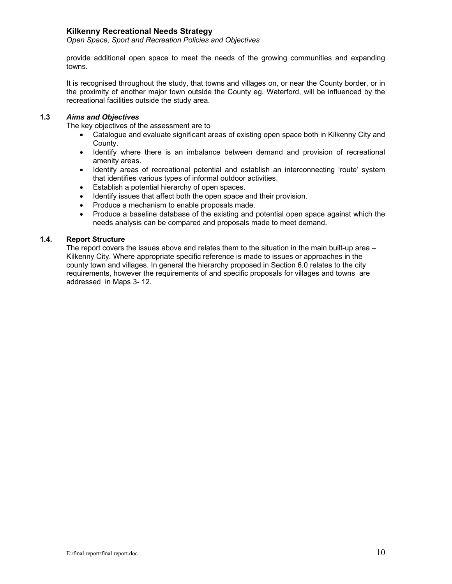*Open Space, Sport and Recreation Policies and Objectives* 

provide additional open space to meet the needs of the growing communities and expanding towns.

It is recognised throughout the study, that towns and villages on, or near the County border, or in the proximity of another major town outside the County eg. Waterford, will be influenced by the recreational facilities outside the study area.

### **1.3** *Aims and Objectives*

The key objectives of the assessment are to

- Catalogue and evaluate significant areas of existing open space both in Kilkenny City and County.
- Identify where there is an imbalance between demand and provision of recreational amenity areas.
- Identify areas of recreational potential and establish an interconnecting 'route' system that identifies various types of informal outdoor activities.
- Establish a potential hierarchy of open spaces.
- Identify issues that affect both the open space and their provision.
- Produce a mechanism to enable proposals made.
- Produce a baseline database of the existing and potential open space against which the needs analysis can be compared and proposals made to meet demand.

### **1.4. Report Structure**

The report covers the issues above and relates them to the situation in the main built-up area – Kilkenny City. Where appropriate specific reference is made to issues or approaches in the county town and villages. In general the hierarchy proposed in Section 6.0 relates to the city requirements, however the requirements of and specific proposals for villages and towns are addressed in Maps 3- 12.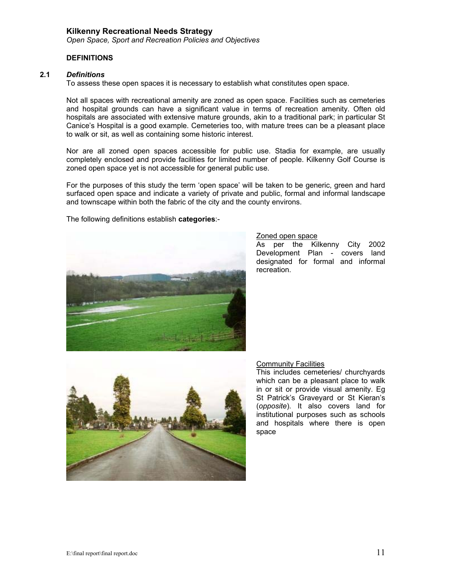*Open Space, Sport and Recreation Policies and Objectives* 

### **DEFINITIONS**

### **2.1** *Definitions*

To assess these open spaces it is necessary to establish what constitutes open space.

Not all spaces with recreational amenity are zoned as open space. Facilities such as cemeteries and hospital grounds can have a significant value in terms of recreation amenity. Often old hospitals are associated with extensive mature grounds, akin to a traditional park; in particular St Canice's Hospital is a good example. Cemeteries too, with mature trees can be a pleasant place to walk or sit, as well as containing some historic interest.

Nor are all zoned open spaces accessible for public use. Stadia for example, are usually completely enclosed and provide facilities for limited number of people. Kilkenny Golf Course is zoned open space yet is not accessible for general public use.

For the purposes of this study the term 'open space' will be taken to be generic, green and hard surfaced open space and indicate a variety of private and public, formal and informal landscape and townscape within both the fabric of the city and the county environs.

The following definitions establish **categories**:-



### Zoned open space

As per the Kilkenny City 2002 Development Plan - covers land designated for formal and informal recreation.



### Community Facilities

This includes cemeteries/ churchyards which can be a pleasant place to walk in or sit or provide visual amenity. Eg St Patrick's Graveyard or St Kieran's (*opposite*). It also covers land for institutional purposes such as schools and hospitals where there is open space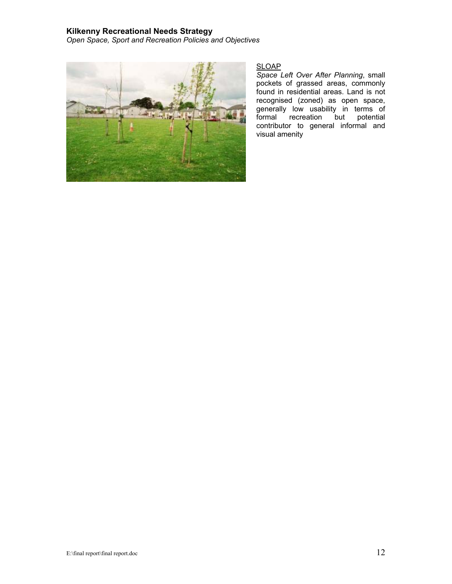*Open Space, Sport and Recreation Policies and Objectives* 



# **SLOAP**

*Space Left Over After Planning*, small pockets of grassed areas, commonly found in residential areas. Land is not recognised (zoned) as open space, generally low usability in terms of formal recreation but potential contributor to general informal and visual amenity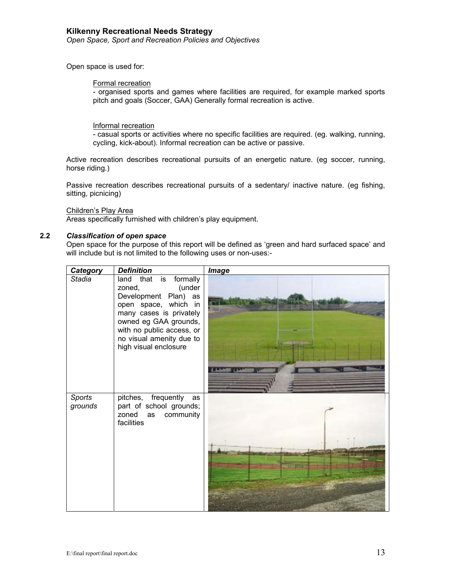*Open Space, Sport and Recreation Policies and Objectives* 

Open space is used for:

#### Formal recreation

- organised sports and games where facilities are required, for example marked sports pitch and goals (Soccer, GAA) Generally formal recreation is active.

#### Informal recreation

- casual sports or activities where no specific facilities are required. (eg. walking, running, cycling, kick-about). Informal recreation can be active or passive.

Active recreation describes recreational pursuits of an energetic nature. (eg soccer, running, horse riding.)

Passive recreation describes recreational pursuits of a sedentary/ inactive nature. (eg fishing, sitting, picnicing)

#### Children's Play Area

Areas specifically furnished with children's play equipment.

### **2.2** *Classification of open space*

Open space for the purpose of this report will be defined as 'green and hard surfaced space' and will include but is not limited to the following uses or non-uses:-

| Category          | <b>Definition</b>                                                                                                                                                                                                                     | <b>Image</b> |
|-------------------|---------------------------------------------------------------------------------------------------------------------------------------------------------------------------------------------------------------------------------------|--------------|
| <b>Stadia</b>     | formally<br>that is<br>land<br>zoned,<br>(under<br>Development Plan) as<br>open space, which in<br>many cases is privately<br>owned eg GAA grounds,<br>with no public access, or<br>no visual amenity due to<br>high visual enclosure |              |
| Sports<br>grounds | pitches, frequently<br>as<br>part of school grounds;<br>zoned as<br>community<br>facilities                                                                                                                                           |              |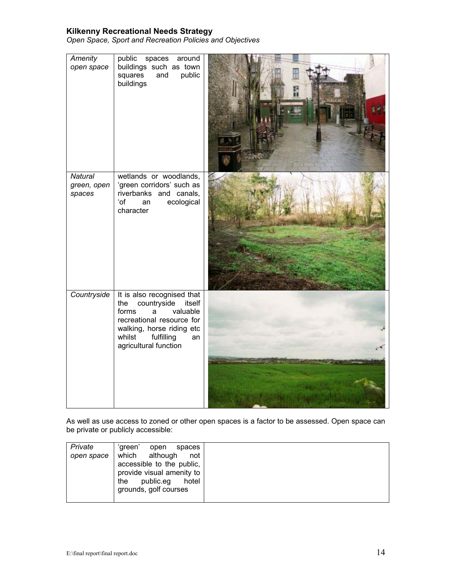*Open Space, Sport and Recreation Policies and Objectives* 

| Amenity<br>open space            | public<br>spaces<br>around<br>buildings such as town<br>squares<br>public<br>and<br>buildings                                                                                                      | H<br><b>HACCIE</b> |
|----------------------------------|----------------------------------------------------------------------------------------------------------------------------------------------------------------------------------------------------|--------------------|
| Natural<br>green, open<br>spaces | wetlands or woodlands,<br>'green corridors' such as<br>riverbanks and canals,<br>'of<br>ecological<br>an<br>character                                                                              |                    |
| Countryside                      | It is also recognised that<br>countryside itself<br>the<br>valuable<br>forms<br>a<br>recreational resource for<br>walking, horse riding etc<br>whilst<br>fulfilling<br>an<br>agricultural function |                    |

As well as use access to zoned or other open spaces is a factor to be assessed. Open space can be private or publicly accessible:

| Private<br>open space | 'green'<br>open<br>spaces<br>which<br>although<br>not<br>accessible to the public,<br>provide visual amenity to<br>public.eg<br>hotel<br>the<br>grounds, golf courses |  |
|-----------------------|-----------------------------------------------------------------------------------------------------------------------------------------------------------------------|--|
|                       |                                                                                                                                                                       |  |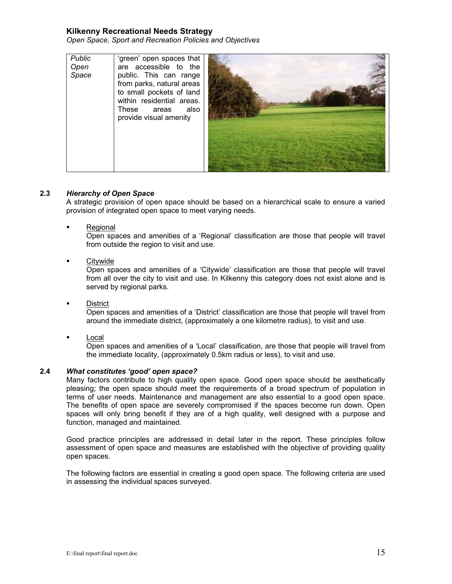*Open Space, Sport and Recreation Policies and Objectives* 

| Public<br>Open<br>Space | 'green' open spaces that<br>are accessible to the<br>public. This can range<br>from parks, natural areas<br>to small pockets of land<br>within residential areas.<br>also<br>These areas<br>provide visual amenity |  |
|-------------------------|--------------------------------------------------------------------------------------------------------------------------------------------------------------------------------------------------------------------|--|
|-------------------------|--------------------------------------------------------------------------------------------------------------------------------------------------------------------------------------------------------------------|--|

### **2.3** *Hierarchy of Open Space*

A strategic provision of open space should be based on a hierarchical scale to ensure a varied provision of integrated open space to meet varying needs.

Regional

Open spaces and amenities of a 'Regional' classification are those that people will travel from outside the region to visit and use.

**Citywide** 

Open spaces and amenities of a 'Citywide' classification are those that people will travel from all over the city to visit and use. In Kilkenny this category does not exist alone and is served by regional parks.

**District** 

Open spaces and amenities of a 'District' classification are those that people will travel from around the immediate district, (approximately a one kilometre radius), to visit and use.

**Local** 

Open spaces and amenities of a 'Local' classification, are those that people will travel from the immediate locality, (approximately 0.5km radius or less), to visit and use.

### **2.4** *What constitutes 'good' open space?*

Many factors contribute to high quality open space. Good open space should be aesthetically pleasing; the open space should meet the requirements of a broad spectrum of population in terms of user needs. Maintenance and management are also essential to a good open space. The benefits of open space are severely compromised if the spaces become run down. Open spaces will only bring benefit if they are of a high quality, well designed with a purpose and function, managed and maintained.

Good practice principles are addressed in detail later in the report. These principles follow assessment of open space and measures are established with the objective of providing quality open spaces.

The following factors are essential in creating a good open space. The following criteria are used in assessing the individual spaces surveyed.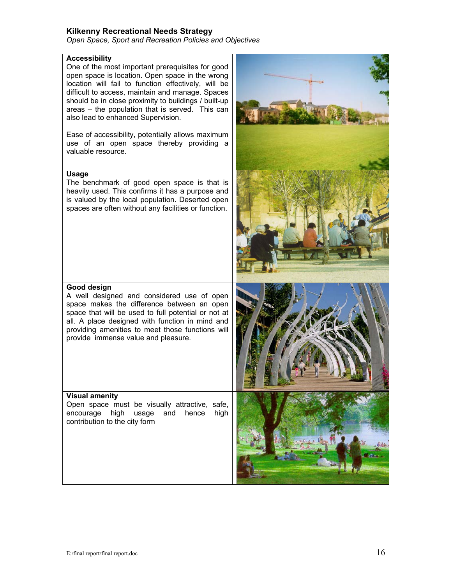*Open Space, Sport and Recreation Policies and Objectives* 

# **Accessibility**

One of the most important prerequisites for good open space is location. Open space in the wrong location will fail to function effectively, will be difficult to access, maintain and manage. Spaces should be in close proximity to buildings / built-up areas – the population that is served. This can also lead to enhanced Supervision.

Ease of accessibility, potentially allows maximum use of an open space thereby providing a valuable resource.

# **Usage**

The benchmark of good open space is that is heavily used. This confirms it has a purpose and is valued by the local population. Deserted open spaces are often without any facilities or function.

# **Good design**

A well designed and considered use of open space makes the difference between an open space that will be used to full potential or not at all. A place designed with function in mind and providing amenities to meet those functions will provide immense value and pleasure.

#### **Visual amenity**

Open space must be visually attractive, safe, encourage high usage and hence high contribution to the city form

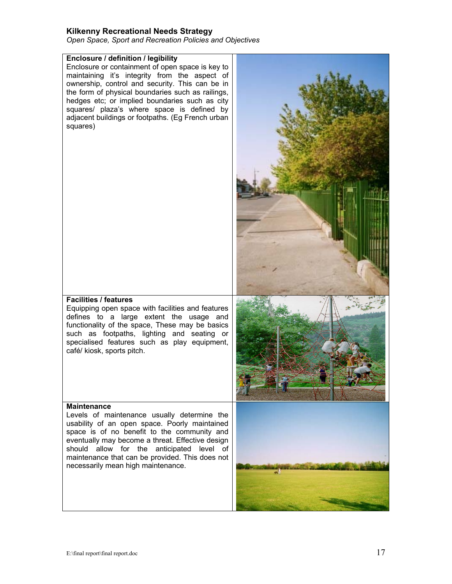*Open Space, Sport and Recreation Policies and Objectives* 

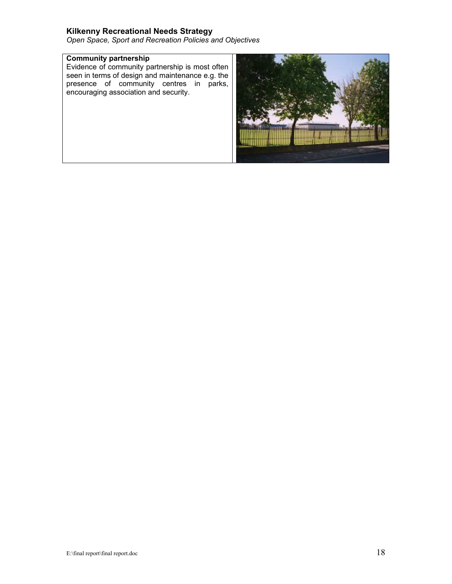*Open Space, Sport and Recreation Policies and Objectives* 

#### **Community partnership**

Evidence of community partnership is most often seen in terms of design and maintenance e.g. the presence of community centres in parks, encouraging association and security.

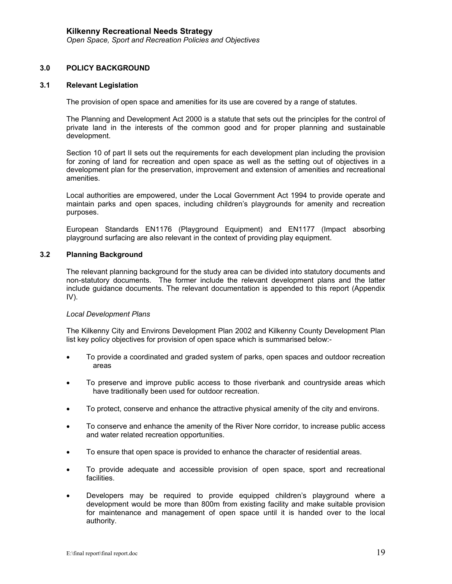*Open Space, Sport and Recreation Policies and Objectives* 

### **3.0 POLICY BACKGROUND**

### **3.1 Relevant Legislation**

The provision of open space and amenities for its use are covered by a range of statutes.

The Planning and Development Act 2000 is a statute that sets out the principles for the control of private land in the interests of the common good and for proper planning and sustainable development.

Section 10 of part II sets out the requirements for each development plan including the provision for zoning of land for recreation and open space as well as the setting out of objectives in a development plan for the preservation, improvement and extension of amenities and recreational amenities.

Local authorities are empowered, under the Local Government Act 1994 to provide operate and maintain parks and open spaces, including children's playgrounds for amenity and recreation purposes.

European Standards EN1176 (Playground Equipment) and EN1177 (Impact absorbing playground surfacing are also relevant in the context of providing play equipment.

### **3.2 Planning Background**

The relevant planning background for the study area can be divided into statutory documents and non-statutory documents. The former include the relevant development plans and the latter include guidance documents. The relevant documentation is appended to this report (Appendix IV).

### *Local Development Plans*

The Kilkenny City and Environs Development Plan 2002 and Kilkenny County Development Plan list key policy objectives for provision of open space which is summarised below:-

- To provide a coordinated and graded system of parks, open spaces and outdoor recreation areas
- To preserve and improve public access to those riverbank and countryside areas which have traditionally been used for outdoor recreation.
- To protect, conserve and enhance the attractive physical amenity of the city and environs.
- To conserve and enhance the amenity of the River Nore corridor, to increase public access and water related recreation opportunities.
- To ensure that open space is provided to enhance the character of residential areas.
- To provide adequate and accessible provision of open space, sport and recreational facilities.
- Developers may be required to provide equipped children's playground where a development would be more than 800m from existing facility and make suitable provision for maintenance and management of open space until it is handed over to the local authority.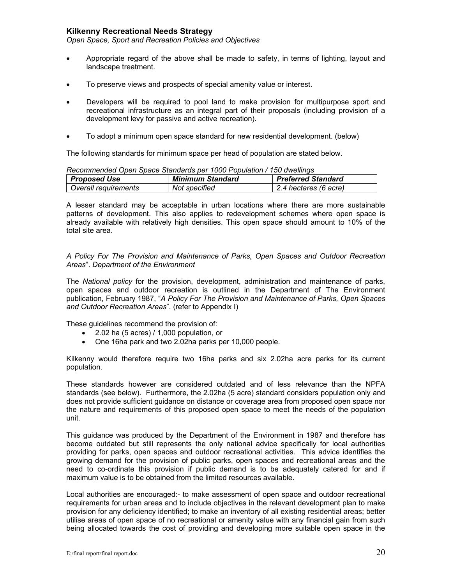*Open Space, Sport and Recreation Policies and Objectives* 

- Appropriate regard of the above shall be made to safety, in terms of lighting, layout and landscape treatment.
- To preserve views and prospects of special amenity value or interest.
- Developers will be required to pool land to make provision for multipurpose sport and recreational infrastructure as an integral part of their proposals (including provision of a development levy for passive and active recreation).
- To adopt a minimum open space standard for new residential development. (below)

The following standards for minimum space per head of population are stated below.

*Recommended Open Space Standards per 1000 Population / 150 dwellings* 

| l <i>Proposed Use</i> | <b>Minimum Standard</b> | <b>Preferred Standard</b> |
|-----------------------|-------------------------|---------------------------|
| Overall requirements  | Not specified           | 2.4 hectares (6 acre)     |

A lesser standard may be acceptable in urban locations where there are more sustainable patterns of development. This also applies to redevelopment schemes where open space is already available with relatively high densities. This open space should amount to 10% of the total site area.

*A Policy For The Provision and Maintenance of Parks, Open Spaces and Outdoor Recreation Areas*". *Department of the Environment*

The *National policy* for the provision, development, administration and maintenance of parks, open spaces and outdoor recreation is outlined in the Department of The Environment publication, February 1987, "*A Policy For The Provision and Maintenance of Parks, Open Spaces and Outdoor Recreation Areas*". (refer to Appendix I)

These guidelines recommend the provision of:

- 2.02 ha (5 acres) / 1,000 population, or
- One 16ha park and two 2.02ha parks per 10,000 people.

Kilkenny would therefore require two 16ha parks and six 2.02ha acre parks for its current population.

These standards however are considered outdated and of less relevance than the NPFA standards (see below). Furthermore, the 2.02ha (5 acre) standard considers population only and does not provide sufficient guidance on distance or coverage area from proposed open space nor the nature and requirements of this proposed open space to meet the needs of the population unit.

This guidance was produced by the Department of the Environment in 1987 and therefore has become outdated but still represents the only national advice specifically for local authorities providing for parks, open spaces and outdoor recreational activities. This advice identifies the growing demand for the provision of public parks, open spaces and recreational areas and the need to co-ordinate this provision if public demand is to be adequately catered for and if maximum value is to be obtained from the limited resources available.

Local authorities are encouraged:- to make assessment of open space and outdoor recreational requirements for urban areas and to include objectives in the relevant development plan to make provision for any deficiency identified; to make an inventory of all existing residential areas; better utilise areas of open space of no recreational or amenity value with any financial gain from such being allocated towards the cost of providing and developing more suitable open space in the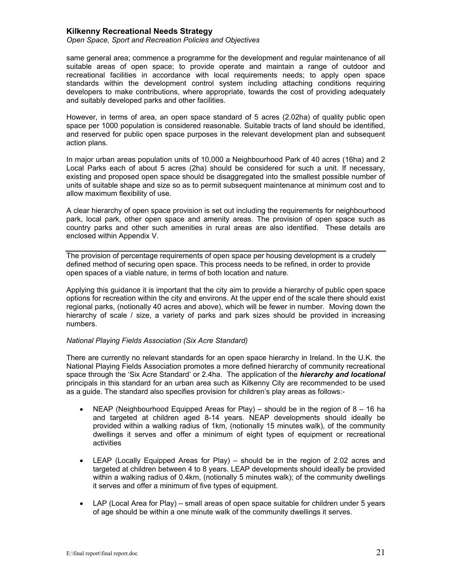*Open Space, Sport and Recreation Policies and Objectives* 

same general area; commence a programme for the development and regular maintenance of all suitable areas of open space; to provide operate and maintain a range of outdoor and recreational facilities in accordance with local requirements needs; to apply open space standards within the development control system including attaching conditions requiring developers to make contributions, where appropriate, towards the cost of providing adequately and suitably developed parks and other facilities.

However, in terms of area, an open space standard of 5 acres (2.02ha) of quality public open space per 1000 population is considered reasonable. Suitable tracts of land should be identified, and reserved for public open space purposes in the relevant development plan and subsequent action plans.

In major urban areas population units of 10,000 a Neighbourhood Park of 40 acres (16ha) and 2 Local Parks each of about 5 acres (2ha) should be considered for such a unit. If necessary, existing and proposed open space should be disaggregated into the smallest possible number of units of suitable shape and size so as to permit subsequent maintenance at minimum cost and to allow maximum flexibility of use.

A clear hierarchy of open space provision is set out including the requirements for neighbourhood park, local park, other open space and amenity areas. The provision of open space such as country parks and other such amenities in rural areas are also identified. These details are enclosed within Appendix V.

The provision of percentage requirements of open space per housing development is a crudely defined method of securing open space. This process needs to be refined, in order to provide open spaces of a viable nature, in terms of both location and nature.

Applying this guidance it is important that the city aim to provide a hierarchy of public open space options for recreation within the city and environs. At the upper end of the scale there should exist regional parks, (notionally 40 acres and above), which will be fewer in number. Moving down the hierarchy of scale / size, a variety of parks and park sizes should be provided in increasing numbers.

### *National Playing Fields Association (Six Acre Standard)*

There are currently no relevant standards for an open space hierarchy in Ireland. In the U.K. the National Playing Fields Association promotes a more defined hierarchy of community recreational space through the 'Six Acre Standard' or 2.4ha. The application of the *hierarchy and locational* principals in this standard for an urban area such as Kilkenny City are recommended to be used as a guide. The standard also specifies provision for children's play areas as follows:-

- NEAP (Neighbourhood Equipped Areas for Play) should be in the region of  $8 16$  ha and targeted at children aged 8-14 years. NEAP developments should ideally be provided within a walking radius of 1km, (notionally 15 minutes walk), of the community dwellings it serves and offer a minimum of eight types of equipment or recreational activities
- LEAP (Locally Equipped Areas for Play) should be in the region of 2.02 acres and targeted at children between 4 to 8 years. LEAP developments should ideally be provided within a walking radius of 0.4km, (notionally 5 minutes walk); of the community dwellings it serves and offer a minimum of five types of equipment.
- LAP (Local Area for Play) small areas of open space suitable for children under 5 years of age should be within a one minute walk of the community dwellings it serves.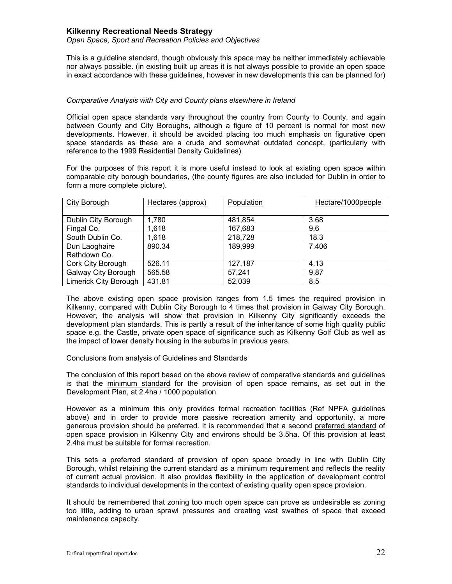*Open Space, Sport and Recreation Policies and Objectives* 

This is a guideline standard, though obviously this space may be neither immediately achievable nor always possible. (in existing built up areas it is not always possible to provide an open space in exact accordance with these guidelines, however in new developments this can be planned for)

### *Comparative Analysis with City and County plans elsewhere in Ireland*

Official open space standards vary throughout the country from County to County, and again between County and City Boroughs, although a figure of 10 percent is normal for most new developments. However, it should be avoided placing too much emphasis on figurative open space standards as these are a crude and somewhat outdated concept, (particularly with reference to the 1999 Residential Density Guidelines).

For the purposes of this report it is more useful instead to look at existing open space within comparable city borough boundaries, (the county figures are also included for Dublin in order to form a more complete picture).

| City Borough               | Hectares (approx) | Population | Hectare/1000people |
|----------------------------|-------------------|------------|--------------------|
|                            |                   |            |                    |
| Dublin City Borough        | 1,780             | 481,854    | 3.68               |
| Fingal Co.                 | 1,618             | 167,683    | 9.6                |
| South Dublin Co.           | 1,618             | 218,728    | 18.3               |
| Dun Laoghaire              | 890.34            | 189,999    | 7.406              |
| Rathdown Co.               |                   |            |                    |
| Cork City Borough          | 526.11            | 127,187    | 4.13               |
| <b>Galway City Borough</b> | 565.58            | 57,241     | 9.87               |
| Limerick City Borough      | 431.81            | 52,039     | 8.5                |

The above existing open space provision ranges from 1.5 times the required provision in Kilkenny, compared with Dublin City Borough to 4 times that provision in Galway City Borough. However, the analysis will show that provision in Kilkenny City significantly exceeds the development plan standards. This is partly a result of the inheritance of some high quality public space e.g. the Castle, private open space of significance such as Kilkenny Golf Club as well as the impact of lower density housing in the suburbs in previous years.

#### Conclusions from analysis of Guidelines and Standards

The conclusion of this report based on the above review of comparative standards and guidelines is that the minimum standard for the provision of open space remains, as set out in the Development Plan, at 2.4ha / 1000 population.

However as a minimum this only provides formal recreation facilities (Ref NPFA guidelines above) and in order to provide more passive recreation amenity and opportunity, a more generous provision should be preferred. It is recommended that a second preferred standard of open space provision in Kilkenny City and environs should be 3.5ha. Of this provision at least 2.4ha must be suitable for formal recreation.

This sets a preferred standard of provision of open space broadly in line with Dublin City Borough, whilst retaining the current standard as a minimum requirement and reflects the reality of current actual provision. It also provides flexibility in the application of development control standards to individual developments in the context of existing quality open space provision.

It should be remembered that zoning too much open space can prove as undesirable as zoning too little, adding to urban sprawl pressures and creating vast swathes of space that exceed maintenance capacity.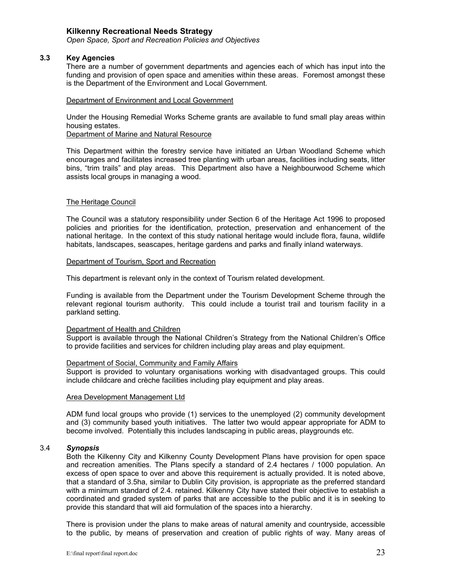*Open Space, Sport and Recreation Policies and Objectives* 

### **3.3 Key Agencies**

There are a number of government departments and agencies each of which has input into the funding and provision of open space and amenities within these areas. Foremost amongst these is the Department of the Environment and Local Government.

#### Department of Environment and Local Government

Under the Housing Remedial Works Scheme grants are available to fund small play areas within housing estates.

Department of Marine and Natural Resource

This Department within the forestry service have initiated an Urban Woodland Scheme which encourages and facilitates increased tree planting with urban areas, facilities including seats, litter bins, "trim trails" and play areas. This Department also have a Neighbourwood Scheme which assists local groups in managing a wood.

### The Heritage Council

The Council was a statutory responsibility under Section 6 of the Heritage Act 1996 to proposed policies and priorities for the identification, protection, preservation and enhancement of the national heritage. In the context of this study national heritage would include flora, fauna, wildlife habitats, landscapes, seascapes, heritage gardens and parks and finally inland waterways.

#### Department of Tourism, Sport and Recreation

This department is relevant only in the context of Tourism related development.

Funding is available from the Department under the Tourism Development Scheme through the relevant regional tourism authority. This could include a tourist trail and tourism facility in a parkland setting.

### Department of Health and Children

Support is available through the National Children's Strategy from the National Children's Office to provide facilities and services for children including play areas and play equipment.

### Department of Social, Community and Family Affairs

Support is provided to voluntary organisations working with disadvantaged groups. This could include childcare and crèche facilities including play equipment and play areas.

### Area Development Management Ltd

ADM fund local groups who provide (1) services to the unemployed (2) community development and (3) community based youth initiatives. The latter two would appear appropriate for ADM to become involved. Potentially this includes landscaping in public areas, playgrounds etc.

#### 3.4 *Synopsis*

Both the Kilkenny City and Kilkenny County Development Plans have provision for open space and recreation amenities. The Plans specify a standard of 2.4 hectares / 1000 population. An excess of open space to over and above this requirement is actually provided. It is noted above, that a standard of 3.5ha, similar to Dublin City provision, is appropriate as the preferred standard with a minimum standard of 2.4. retained. Kilkenny City have stated their objective to establish a coordinated and graded system of parks that are accessible to the public and it is in seeking to provide this standard that will aid formulation of the spaces into a hierarchy.

There is provision under the plans to make areas of natural amenity and countryside, accessible to the public, by means of preservation and creation of public rights of way. Many areas of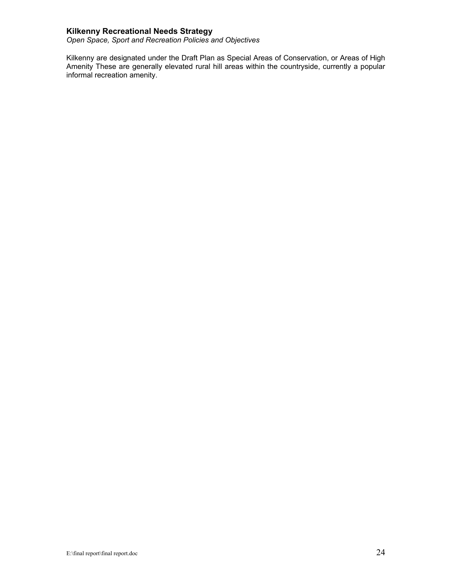*Open Space, Sport and Recreation Policies and Objectives* 

Kilkenny are designated under the Draft Plan as Special Areas of Conservation, or Areas of High Amenity These are generally elevated rural hill areas within the countryside, currently a popular informal recreation amenity.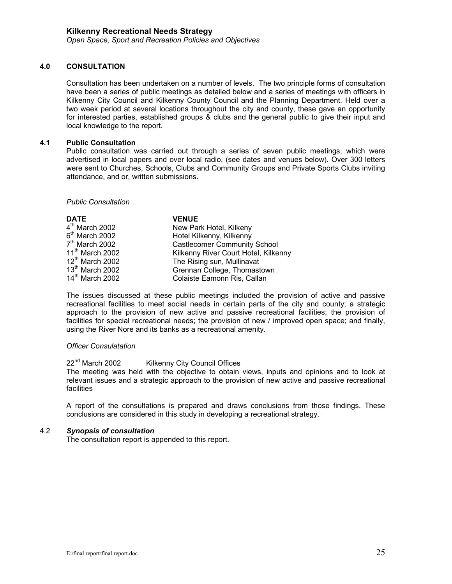*Open Space, Sport and Recreation Policies and Objectives* 

### **4.0 CONSULTATION**

Consultation has been undertaken on a number of levels. The two principle forms of consultation have been a series of public meetings as detailed below and a series of meetings with officers in Kilkenny City Council and Kilkenny County Council and the Planning Department. Held over a two week period at several locations throughout the city and county, these gave an opportunity for interested parties, established groups & clubs and the general public to give their input and local knowledge to the report.

#### **4.1 Public Consultation**

Public consultation was carried out through a series of seven public meetings, which were advertised in local papers and over local radio, (see dates and venues below). Over 300 letters were sent to Churches, Schools, Clubs and Community Groups and Private Sports Clubs inviting attendance, and or, written submissions.

#### *Public Consultation*

| <b>DATE</b>                 | <b>VENUE</b>                         |
|-----------------------------|--------------------------------------|
| $4th$ March 2002            | New Park Hotel, Kilkeny              |
| $6th$ March 2002            | Hotel Kilkenny, Kilkenny             |
| 7 <sup>th</sup> March 2002  | <b>Castlecomer Community School</b>  |
| 11 <sup>th</sup> March 2002 | Kilkenny River Court Hotel, Kilkenny |
| 12 <sup>th</sup> March 2002 | The Rising sun, Mullinavat           |
| 13 <sup>th</sup> March 2002 | Grennan College, Thomastown          |
| 14 <sup>th</sup> March 2002 | Colaiste Eamonn Ris, Callan          |

The issues discussed at these public meetings included the provision of active and passive recreational facilities to meet social needs in certain parts of the city and county; a strategic approach to the provision of new active and passive recreational facilities; the provision of facilities for special recreational needs; the provision of new / improved open space; and finally, using the River Nore and its banks as a recreational amenity.

### *Officer Consulatation*

# 22<sup>nd</sup> March 2002 Kilkenny City Council Offices

The meeting was held with the objective to obtain views, inputs and opinions and to look at relevant issues and a strategic approach to the provision of new active and passive recreational facilities

A report of the consultations is prepared and draws conclusions from those findings. These conclusions are considered in this study in developing a recreational strategy.

### 4.2 *Synopsis of consultation*

The consultation report is appended to this report.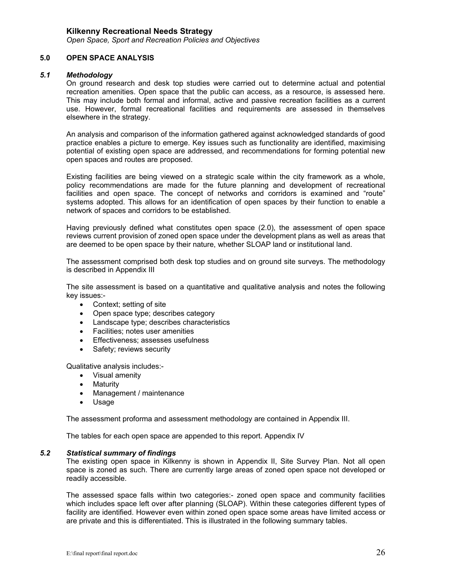*Open Space, Sport and Recreation Policies and Objectives* 

#### **5.0 OPEN SPACE ANALYSIS**

### *5.1 Methodology*

On ground research and desk top studies were carried out to determine actual and potential recreation amenities. Open space that the public can access, as a resource, is assessed here. This may include both formal and informal, active and passive recreation facilities as a current use. However, formal recreational facilities and requirements are assessed in themselves elsewhere in the strategy.

An analysis and comparison of the information gathered against acknowledged standards of good practice enables a picture to emerge. Key issues such as functionality are identified, maximising potential of existing open space are addressed, and recommendations for forming potential new open spaces and routes are proposed.

Existing facilities are being viewed on a strategic scale within the city framework as a whole, policy recommendations are made for the future planning and development of recreational facilities and open space. The concept of networks and corridors is examined and "route" systems adopted. This allows for an identification of open spaces by their function to enable a network of spaces and corridors to be established.

Having previously defined what constitutes open space (2.0), the assessment of open space reviews current provision of zoned open space under the development plans as well as areas that are deemed to be open space by their nature, whether SLOAP land or institutional land.

The assessment comprised both desk top studies and on ground site surveys. The methodology is described in Appendix III

The site assessment is based on a quantitative and qualitative analysis and notes the following key issues:-

- Context; setting of site
- Open space type; describes category
- Landscape type; describes characteristics
- Facilities; notes user amenities
- Effectiveness; assesses usefulness
- Safety; reviews security

Qualitative analysis includes:-

- Visual amenity
- Maturity
- Management / maintenance
- Usage

The assessment proforma and assessment methodology are contained in Appendix III.

The tables for each open space are appended to this report. Appendix IV

#### *5.2 Statistical summary of findings*

The existing open space in Kilkenny is shown in Appendix II, Site Survey Plan. Not all open space is zoned as such. There are currently large areas of zoned open space not developed or readily accessible.

The assessed space falls within two categories:- zoned open space and community facilities which includes space left over after planning (SLOAP). Within these categories different types of facility are identified. However even within zoned open space some areas have limited access or are private and this is differentiated. This is illustrated in the following summary tables.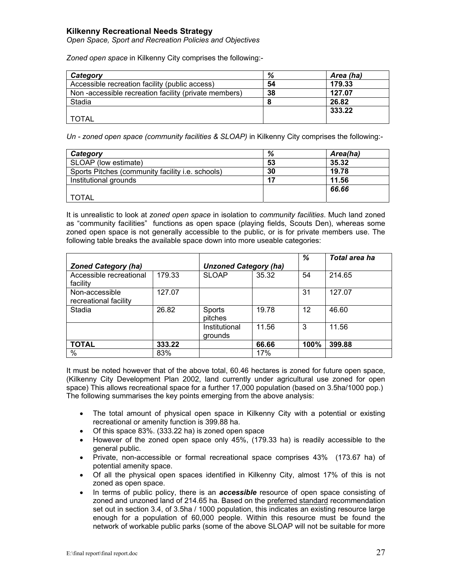*Open Space, Sport and Recreation Policies and Objectives* 

*Zoned open space* in Kilkenny City comprises the following:-

| Category                                             | %  | Area (ha) |
|------------------------------------------------------|----|-----------|
| Accessible recreation facility (public access)       | 54 | 179.33    |
| Non-accessible recreation facility (private members) | 38 | 127.07    |
| Stadia                                               |    | 26.82     |
|                                                      |    | 333.22    |
| <b>TOTAL</b>                                         |    |           |

*Un - zoned open space (community facilities & SLOAP)* in Kilkenny City comprises the following:-

| Category                                         | %  | Area(ha) |
|--------------------------------------------------|----|----------|
| SLOAP (low estimate)                             | 53 | 35.32    |
| Sports Pitches (community facility i.e. schools) | 30 | 19.78    |
| Institutional grounds                            | 17 | 11.56    |
|                                                  |    | 66.66    |
| <b>TOTAL</b>                                     |    |          |

It is unrealistic to look at *zoned open space* in isolation to *community facilities*. Much land zoned as "community facilities" functions as open space (playing fields, Scouts Den), whereas some zoned open space is not generally accessible to the public, or is for private members use. The following table breaks the available space down into more useable categories:

|                                         |                              |                          |       | %                 | Total area ha |
|-----------------------------------------|------------------------------|--------------------------|-------|-------------------|---------------|
| <b>Zoned Category (ha)</b>              | <b>Unzoned Category (ha)</b> |                          |       |                   |               |
| Accessible recreational<br>facility     | 179.33                       | <b>SLOAP</b>             | 35.32 | 54                | 214.65        |
| Non-accessible<br>recreational facility | 127.07                       |                          |       | 31                | 127.07        |
| Stadia                                  | 26.82                        | Sports<br>pitches        | 19.78 | $12 \overline{ }$ | 46.60         |
|                                         |                              | Institutional<br>grounds | 11.56 | 3                 | 11.56         |
| <b>TOTAL</b>                            | 333.22                       |                          | 66.66 | 100%              | 399.88        |
| $\%$                                    | 83%                          |                          | 17%   |                   |               |

It must be noted however that of the above total, 60.46 hectares is zoned for future open space, (Kilkenny City Development Plan 2002, land currently under agricultural use zoned for open space) This allows recreational space for a further 17,000 population (based on 3.5ha/1000 pop.) The following summarises the key points emerging from the above analysis:

- The total amount of physical open space in Kilkenny City with a potential or existing recreational or amenity function is 399.88 ha.
- Of this space 83%. (333.22 ha) is zoned open space
- However of the zoned open space only 45%, (179.33 ha) is readily accessible to the general public.
- Private, non-accessible or formal recreational space comprises 43% (173.67 ha) of potential amenity space.
- Of all the physical open spaces identified in Kilkenny City, almost 17% of this is not zoned as open space.
- In terms of public policy, there is an *accessible* resource of open space consisting of zoned and unzoned land of 214.65 ha. Based on the preferred standard recommendation set out in section 3.4, of 3.5ha / 1000 population, this indicates an existing resource large enough for a population of 60,000 people. Within this resource must be found the network of workable public parks (some of the above SLOAP will not be suitable for more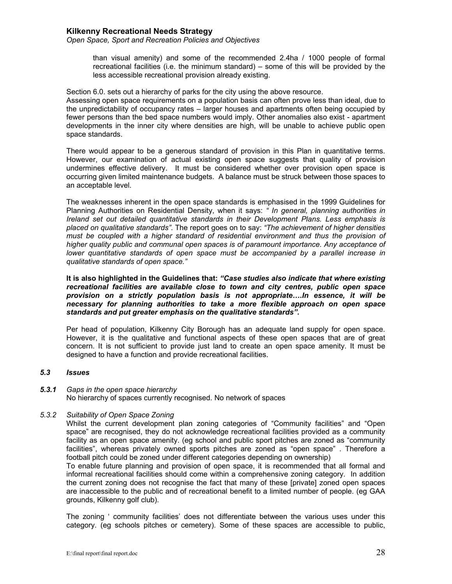*Open Space, Sport and Recreation Policies and Objectives* 

than visual amenity) and some of the recommended 2.4ha / 1000 people of formal recreational facilities (i.e. the minimum standard) – some of this will be provided by the less accessible recreational provision already existing.

Section 6.0. sets out a hierarchy of parks for the city using the above resource.

Assessing open space requirements on a population basis can often prove less than ideal, due to the unpredictability of occupancy rates – larger houses and apartments often being occupied by fewer persons than the bed space numbers would imply. Other anomalies also exist - apartment developments in the inner city where densities are high, will be unable to achieve public open space standards.

There would appear to be a generous standard of provision in this Plan in quantitative terms. However, our examination of actual existing open space suggests that quality of provision undermines effective delivery. It must be considered whether over provision open space is occurring given limited maintenance budgets. A balance must be struck between those spaces to an acceptable level.

The weaknesses inherent in the open space standards is emphasised in the 1999 Guidelines for Planning Authorities on Residential Density, when it says: *" In general, planning authorities in Ireland set out detailed quantitative standards in their Development Plans. Less emphasis is placed on qualitative standards"*. The report goes on to say: *"The achievement of higher densities*  must be coupled with a higher standard of residential environment and thus the provision of higher quality public and communal open spaces is of paramount importance. Any acceptance of *lower quantitative standards of open space must be accompanied by a parallel increase in qualitative standards of open space."* 

**It is also highlighted in the Guidelines that:** *"Case studies also indicate that where existing recreational facilities are available close to town and city centres, public open space provision on a strictly population basis is not appropriate….In essence, it will be necessary for planning authorities to take a more flexible approach on open space standards and put greater emphasis on the qualitative standards".*

Per head of population, Kilkenny City Borough has an adequate land supply for open space. However, it is the qualitative and functional aspects of these open spaces that are of great concern. It is not sufficient to provide just land to create an open space amenity. It must be designed to have a function and provide recreational facilities.

### *5.3 Issues*

### *5.3.1 Gaps in the open space hierarchy*  No hierarchy of spaces currently recognised. No network of spaces

### *5.3.2 Suitability of Open Space Zoning*

Whilst the current development plan zoning categories of "Community facilities" and "Open space" are recognised, they do not acknowledge recreational facilities provided as a community facility as an open space amenity. (eg school and public sport pitches are zoned as "community facilities", whereas privately owned sports pitches are zoned as "open space" . Therefore a football pitch could be zoned under different categories depending on ownership)

To enable future planning and provision of open space, it is recommended that all formal and informal recreational facilities should come within a comprehensive zoning category.In addition the current zoning does not recognise the fact that many of these [private] zoned open spaces are inaccessible to the public and of recreational benefit to a limited number of people. (eg GAA grounds, Kilkenny golf club).

The zoning ' community facilities' does not differentiate between the various uses under this category. (eg schools pitches or cemetery). Some of these spaces are accessible to public,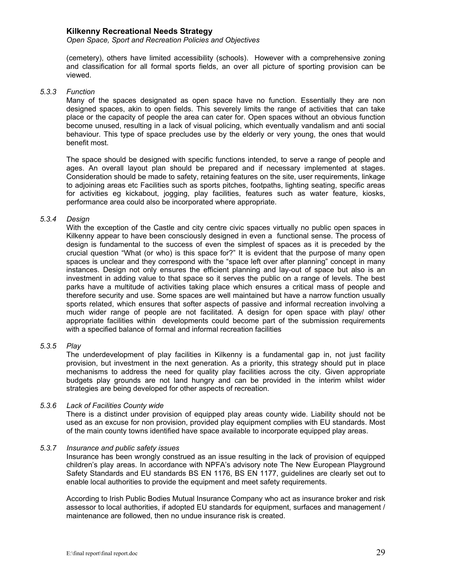*Open Space, Sport and Recreation Policies and Objectives* 

(cemetery), others have limited accessibility (schools). However with a comprehensive zoning and classification for all formal sports fields, an over all picture of sporting provision can be viewed.

#### *5.3.3 Function*

Many of the spaces designated as open space have no function. Essentially they are non designed spaces, akin to open fields. This severely limits the range of activities that can take place or the capacity of people the area can cater for. Open spaces without an obvious function become unused, resulting in a lack of visual policing, which eventually vandalism and anti social behaviour. This type of space precludes use by the elderly or very young, the ones that would benefit most.

The space should be designed with specific functions intended, to serve a range of people and ages. An overall layout plan should be prepared and if necessary implemented at stages. Consideration should be made to safety, retaining features on the site, user requirements, linkage to adjoining areas etc Facilities such as sports pitches, footpaths, lighting seating, specific areas for activities eg kickabout, jogging, play facilities, features such as water feature, kiosks, performance area could also be incorporated where appropriate.

# *5.3.4 Design*

With the exception of the Castle and city centre civic spaces virtually no public open spaces in Kilkenny appear to have been consciously designed in even a functional sense. The process of design is fundamental to the success of even the simplest of spaces as it is preceded by the crucial question "What (or who) is this space for?" It is evident that the purpose of many open spaces is unclear and they correspond with the "space left over after planning" concept in many instances. Design not only ensures the efficient planning and lay-out of space but also is an investment in adding value to that space so it serves the public on a range of levels. The best parks have a multitude of activities taking place which ensures a critical mass of people and therefore security and use. Some spaces are well maintained but have a narrow function usually sports related, which ensures that softer aspects of passive and informal recreation involving a much wider range of people are not facilitated. A design for open space with play/ other appropriate facilities within developments could become part of the submission requirements with a specified balance of formal and informal recreation facilities

### *5.3.5 Play*

The underdevelopment of play facilities in Kilkenny is a fundamental gap in, not just facility provision, but investment in the next generation. As a priority, this strategy should put in place mechanisms to address the need for quality play facilities across the city. Given appropriate budgets play grounds are not land hungry and can be provided in the interim whilst wider strategies are being developed for other aspects of recreation.

#### *5.3.6 Lack of Facilities County wide*

There is a distinct under provision of equipped play areas county wide. Liability should not be used as an excuse for non provision, provided play equipment complies with EU standards. Most of the main county towns identified have space available to incorporate equipped play areas.

#### *5.3.7 Insurance and public safety issues*

Insurance has been wrongly construed as an issue resulting in the lack of provision of equipped children's play areas. In accordance with NPFA's advisory note The New European Playground Safety Standards and EU standards BS EN 1176, BS EN 1177, guidelines are clearly set out to enable local authorities to provide the equipment and meet safety requirements.

According to Irish Public Bodies Mutual Insurance Company who act as insurance broker and risk assessor to local authorities, if adopted EU standards for equipment, surfaces and management / maintenance are followed, then no undue insurance risk is created.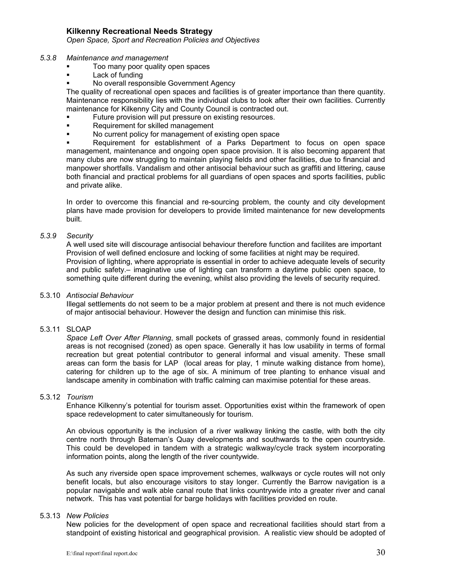*Open Space, Sport and Recreation Policies and Objectives* 

#### *5.3.8 Maintenance and management*

- Too many poor quality open spaces
- Lack of funding
- **No overall responsible Government Agency**

The quality of recreational open spaces and facilities is of greater importance than there quantity. Maintenance responsibility lies with the individual clubs to look after their own facilities. Currently maintenance for Kilkenny City and County Council is contracted out.

- Future provision will put pressure on existing resources.
- Requirement for skilled management
- No current policy for management of existing open space

 Requirement for establishment of a Parks Department to focus on open space management, maintenance and ongoing open space provision. It is also becoming apparent that many clubs are now struggling to maintain playing fields and other facilities, due to financial and manpower shortfalls. Vandalism and other antisocial behaviour such as graffiti and littering, cause both financial and practical problems for all guardians of open spaces and sports facilities, public and private alike.

In order to overcome this financial and re-sourcing problem, the county and city development plans have made provision for developers to provide limited maintenance for new developments built.

### *5.3.9 Security*

A well used site will discourage antisocial behaviour therefore function and facilites are important Provision of well defined enclosure and locking of some facilities at night may be required. Provision of lighting, where appropriate is essential in order to achieve adequate levels of security and public safety.– imaginative use of lighting can transform a daytime public open space, to something quite different during the evening, whilst also providing the levels of security required.

#### 5.3.10 *Antisocial Behaviour*

Illegal settlements do not seem to be a major problem at present and there is not much evidence of major antisocial behaviour. However the design and function can minimise this risk.

### 5.3.11 SLOAP

*Space Left Over After Planning*, small pockets of grassed areas, commonly found in residential areas is not recognised (zoned) as open space. Generally it has low usability in terms of formal recreation but great potential contributor to general informal and visual amenity. These small areas can form the basis for LAP (local areas for play, 1 minute walking distance from home), catering for children up to the age of six. A minimum of tree planting to enhance visual and landscape amenity in combination with traffic calming can maximise potential for these areas.

#### 5.3.12 *Tourism*

Enhance Kilkenny's potential for tourism asset. Opportunities exist within the framework of open space redevelopment to cater simultaneously for tourism.

An obvious opportunity is the inclusion of a river walkway linking the castle, with both the city centre north through Bateman's Quay developments and southwards to the open countryside. This could be developed in tandem with a strategic walkway/cycle track system incorporating information points, along the length of the river countywide.

As such any riverside open space improvement schemes, walkways or cycle routes will not only benefit locals, but also encourage visitors to stay longer. Currently the Barrow navigation is a popular navigable and walk able canal route that links countrywide into a greater river and canal network. This has vast potential for barge holidays with facilities provided en route.

#### 5.3.13 *New Policies*

New policies for the development of open space and recreational facilities should start from a standpoint of existing historical and geographical provision. A realistic view should be adopted of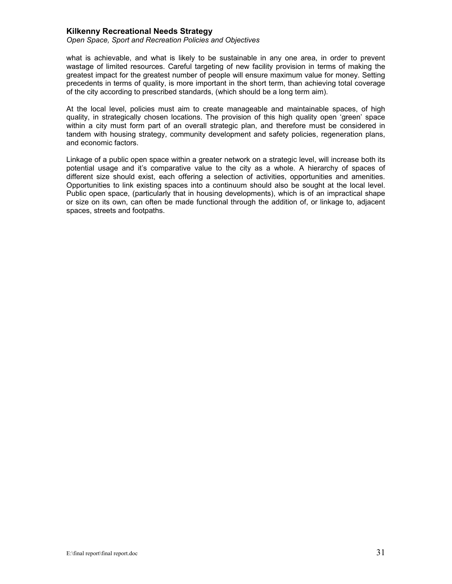*Open Space, Sport and Recreation Policies and Objectives* 

what is achievable, and what is likely to be sustainable in any one area, in order to prevent wastage of limited resources. Careful targeting of new facility provision in terms of making the greatest impact for the greatest number of people will ensure maximum value for money. Setting precedents in terms of quality, is more important in the short term, than achieving total coverage of the city according to prescribed standards, (which should be a long term aim).

At the local level, policies must aim to create manageable and maintainable spaces, of high quality, in strategically chosen locations. The provision of this high quality open 'green' space within a city must form part of an overall strategic plan, and therefore must be considered in tandem with housing strategy, community development and safety policies, regeneration plans, and economic factors.

Linkage of a public open space within a greater network on a strategic level, will increase both its potential usage and it's comparative value to the city as a whole. A hierarchy of spaces of different size should exist, each offering a selection of activities, opportunities and amenities. Opportunities to link existing spaces into a continuum should also be sought at the local level. Public open space, (particularly that in housing developments), which is of an impractical shape or size on its own, can often be made functional through the addition of, or linkage to, adjacent spaces, streets and footpaths.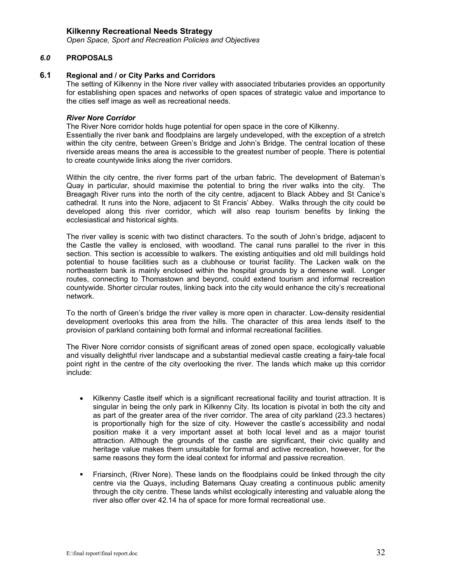*Open Space, Sport and Recreation Policies and Objectives* 

### *6.0* **PROPOSALS**

### **6.1 Regional and / or City Parks and Corridors**

The setting of Kilkenny in the Nore river valley with associated tributaries provides an opportunity for establishing open spaces and networks of open spaces of strategic value and importance to the cities self image as well as recreational needs.

#### *River Nore Corridor*

The River Nore corridor holds huge potential for open space in the core of Kilkenny. Essentially the river bank and floodplains are largely undeveloped, with the exception of a stretch within the city centre, between Green's Bridge and John's Bridge. The central location of these riverside areas means the area is accessible to the greatest number of people. There is potential to create countywide links along the river corridors.

Within the city centre, the river forms part of the urban fabric. The development of Bateman's Quay in particular, should maximise the potential to bring the river walks into the city. The Breagagh River runs into the north of the city centre, adjacent to Black Abbey and St Canice's cathedral. It runs into the Nore, adjacent to St Francis' Abbey. Walks through the city could be developed along this river corridor, which will also reap tourism benefits by linking the ecclesiastical and historical sights.

The river valley is scenic with two distinct characters. To the south of John's bridge, adjacent to the Castle the valley is enclosed, with woodland. The canal runs parallel to the river in this section. This section is accessible to walkers. The existing antiquities and old mill buildings hold potential to house facilities such as a clubhouse or tourist facility. The Lacken walk on the northeastern bank is mainly enclosed within the hospital grounds by a demesne wall. Longer routes, connecting to Thomastown and beyond, could extend tourism and informal recreation countywide. Shorter circular routes, linking back into the city would enhance the city's recreational network.

To the north of Green's bridge the river valley is more open in character. Low-density residential development overlooks this area from the hills. The character of this area lends itself to the provision of parkland containing both formal and informal recreational facilities.

The River Nore corridor consists of significant areas of zoned open space, ecologically valuable and visually delightful river landscape and a substantial medieval castle creating a fairy-tale focal point right in the centre of the city overlooking the river. The lands which make up this corridor include:

- Kilkenny Castle itself which is a significant recreational facility and tourist attraction. It is singular in being the only park in Kilkenny City. Its location is pivotal in both the city and as part of the greater area of the river corridor. The area of city parkland (23.3 hectares) is proportionally high for the size of city. However the castle's accessibility and nodal position make it a very important asset at both local level and as a major tourist attraction. Although the grounds of the castle are significant, their civic quality and heritage value makes them unsuitable for formal and active recreation, however, for the same reasons they form the ideal context for informal and passive recreation.
- Friarsinch, (River Nore). These lands on the floodplains could be linked through the city centre via the Quays, including Batemans Quay creating a continuous public amenity through the city centre. These lands whilst ecologically interesting and valuable along the river also offer over 42.14 ha of space for more formal recreational use.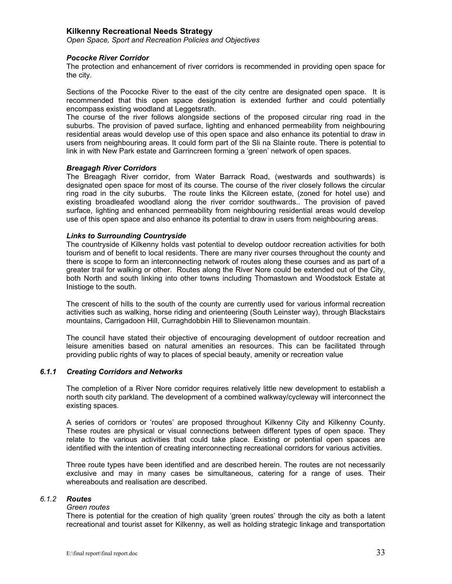*Open Space, Sport and Recreation Policies and Objectives* 

#### *Pococke River Corridor*

The protection and enhancement of river corridors is recommended in providing open space for the city.

Sections of the Pococke River to the east of the city centre are designated open space. It is recommended that this open space designation is extended further and could potentially encompass existing woodland at Leggetsrath.

The course of the river follows alongside sections of the proposed circular ring road in the suburbs. The provision of paved surface, lighting and enhanced permeability from neighbouring residential areas would develop use of this open space and also enhance its potential to draw in users from neighbouring areas. It could form part of the Sli na Slainte route. There is potential to link in with New Park estate and Garrincreen forming a 'green' network of open spaces.

#### *Breagagh River Corridors*

The Breagagh River corridor, from Water Barrack Road, (westwards and southwards) is designated open space for most of its course. The course of the river closely follows the circular ring road in the city suburbs. The route links the Kilcreen estate, (zoned for hotel use) and existing broadleafed woodland along the river corridor southwards.. The provision of paved surface, lighting and enhanced permeability from neighbouring residential areas would develop use of this open space and also enhance its potential to draw in users from neighbouring areas.

#### *Links to Surrounding Countryside*

The countryside of Kilkenny holds vast potential to develop outdoor recreation activities for both tourism and of benefit to local residents. There are many river courses throughout the county and there is scope to form an interconnecting network of routes along these courses and as part of a greater trail for walking or other. Routes along the River Nore could be extended out of the City, both North and south linking into other towns including Thomastown and Woodstock Estate at Inistioge to the south.

The crescent of hills to the south of the county are currently used for various informal recreation activities such as walking, horse riding and orienteering (South Leinster way), through Blackstairs mountains, Carrigadoon Hill, Curraghdobbin Hill to Slievenamon mountain.

The council have stated their objective of encouraging development of outdoor recreation and leisure amenities based on natural amenities an resources. This can be facilitated through providing public rights of way to places of special beauty, amenity or recreation value

### *6.1.1 Creating Corridors and Networks*

The completion of a River Nore corridor requires relatively little new development to establish a north south city parkland. The development of a combined walkway/cycleway will interconnect the existing spaces.

A series of corridors or 'routes' are proposed throughout Kilkenny City and Kilkenny County. These routes are physical or visual connections between different types of open space. They relate to the various activities that could take place. Existing or potential open spaces are identified with the intention of creating interconnecting recreational corridors for various activities.

Three route types have been identified and are described herein. The routes are not necessarily exclusive and may in many cases be simultaneous, catering for a range of uses. Their whereabouts and realisation are described.

### *6.1.2 Routes*

#### *Green routes*

There is potential for the creation of high quality 'green routes' through the city as both a latent recreational and tourist asset for Kilkenny, as well as holding strategic linkage and transportation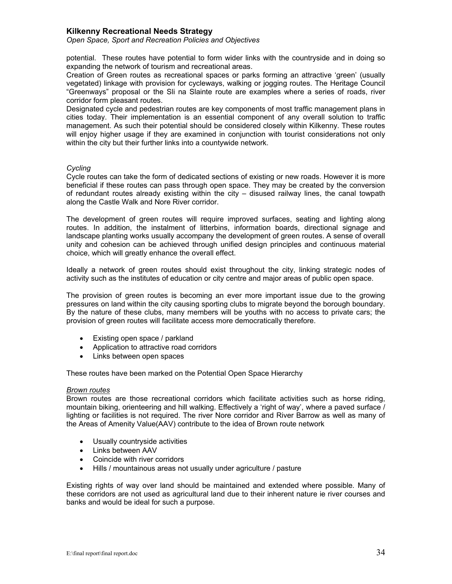*Open Space, Sport and Recreation Policies and Objectives* 

potential. These routes have potential to form wider links with the countryside and in doing so expanding the network of tourism and recreational areas.

Creation of Green routes as recreational spaces or parks forming an attractive 'green' (usually vegetated) linkage with provision for cycleways, walking or jogging routes. The Heritage Council "Greenways" proposal or the Sli na Slainte route are examples where a series of roads, river corridor form pleasant routes.

Designated cycle and pedestrian routes are key components of most traffic management plans in cities today. Their implementation is an essential component of any overall solution to traffic management. As such their potential should be considered closely within Kilkenny. These routes will enjoy higher usage if they are examined in conjunction with tourist considerations not only within the city but their further links into a countywide network.

### *Cycling*

Cycle routes can take the form of dedicated sections of existing or new roads. However it is more beneficial if these routes can pass through open space. They may be created by the conversion of redundant routes already existing within the city – disused railway lines, the canal towpath along the Castle Walk and Nore River corridor.

The development of green routes will require improved surfaces, seating and lighting along routes. In addition, the instalment of litterbins, information boards, directional signage and landscape planting works usually accompany the development of green routes. A sense of overall unity and cohesion can be achieved through unified design principles and continuous material choice, which will greatly enhance the overall effect.

Ideally a network of green routes should exist throughout the city, linking strategic nodes of activity such as the institutes of education or city centre and major areas of public open space.

The provision of green routes is becoming an ever more important issue due to the growing pressures on land within the city causing sporting clubs to migrate beyond the borough boundary. By the nature of these clubs, many members will be youths with no access to private cars; the provision of green routes will facilitate access more democratically therefore.

- Existing open space / parkland
- Application to attractive road corridors
- Links between open spaces

These routes have been marked on the Potential Open Space Hierarchy

#### *Brown routes*

Brown routes are those recreational corridors which facilitate activities such as horse riding, mountain biking, orienteering and hill walking. Effectively a 'right of way', where a paved surface / lighting or facilities is not required. The river Nore corridor and River Barrow as well as many of the Areas of Amenity Value(AAV) contribute to the idea of Brown route network

- Usually countryside activities
- Links between AAV
- Coincide with river corridors
- Hills / mountainous areas not usually under agriculture / pasture

Existing rights of way over land should be maintained and extended where possible. Many of these corridors are not used as agricultural land due to their inherent nature ie river courses and banks and would be ideal for such a purpose.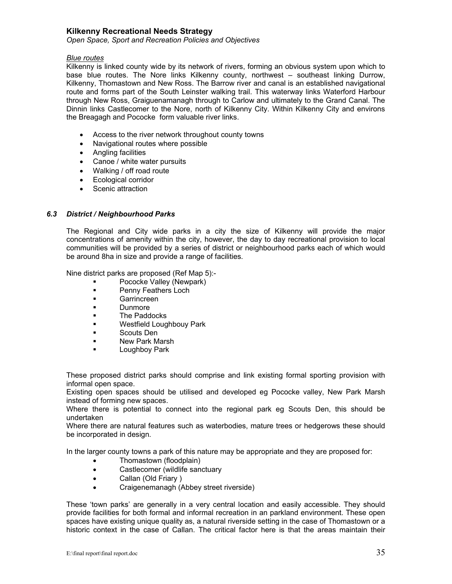*Open Space, Sport and Recreation Policies and Objectives* 

#### *Blue routes*

Kilkenny is linked county wide by its network of rivers, forming an obvious system upon which to base blue routes. The Nore links Kilkenny county, northwest – southeast linking Durrow, Kilkenny, Thomastown and New Ross. The Barrow river and canal is an established navigational route and forms part of the South Leinster walking trail. This waterway links Waterford Harbour through New Ross, Graiguenamanagh through to Carlow and ultimately to the Grand Canal. The Dinnin links Castlecomer to the Nore, north of Kilkenny City. Within Kilkenny City and environs the Breagagh and Pococke form valuable river links.

- Access to the river network throughout county towns
- Navigational routes where possible
- Angling facilities
- Canoe / white water pursuits
- Walking / off road route
- Ecological corridor
- Scenic attraction

### *6.3 District / Neighbourhood Parks*

The Regional and City wide parks in a city the size of Kilkenny will provide the major concentrations of amenity within the city, however, the day to day recreational provision to local communities will be provided by a series of district or neighbourhood parks each of which would be around 8ha in size and provide a range of facilities.

Nine district parks are proposed (Ref Map 5):-

- **Pococke Valley (Newpark)**
- **Penny Feathers Loch**
- Garrincreen
- **Dunmore**
- **The Paddocks**
- **Westfield Loughbouy Park**
- **Scouts Den**
- **New Park Marsh**
- **Loughboy Park**

These proposed district parks should comprise and link existing formal sporting provision with informal open space.

Existing open spaces should be utilised and developed eg Pococke valley, New Park Marsh instead of forming new spaces.

Where there is potential to connect into the regional park eg Scouts Den, this should be undertaken

Where there are natural features such as waterbodies, mature trees or hedgerows these should be incorporated in design.

In the larger county towns a park of this nature may be appropriate and they are proposed for:

- Thomastown (floodplain)
- Castlecomer (wildlife sanctuary
- Callan (Old Friary )
- Craigenemanagh (Abbey street riverside)

These 'town parks' are generally in a very central location and easily accessible. They should provide facilities for both formal and informal recreation in an parkland environment. These open spaces have existing unique quality as, a natural riverside setting in the case of Thomastown or a historic context in the case of Callan. The critical factor here is that the areas maintain their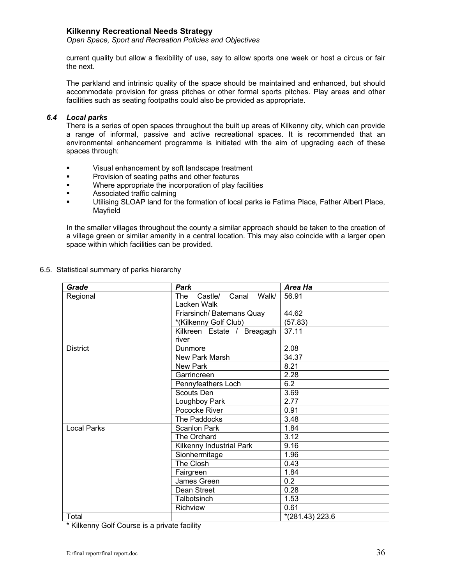*Open Space, Sport and Recreation Policies and Objectives* 

current quality but allow a flexibility of use, say to allow sports one week or host a circus or fair the next.

The parkland and intrinsic quality of the space should be maintained and enhanced, but should accommodate provision for grass pitches or other formal sports pitches. Play areas and other facilities such as seating footpaths could also be provided as appropriate.

# *6.4 Local parks*

There is a series of open spaces throughout the built up areas of Kilkenny city, which can provide a range of informal, passive and active recreational spaces. It is recommended that an environmental enhancement programme is initiated with the aim of upgrading each of these spaces through:

- Visual enhancement by soft landscape treatment
- **Provision of seating paths and other features**
- Where appropriate the incorporation of play facilities
- **Associated traffic calming**
- Utilising SLOAP land for the formation of local parks ie Fatima Place, Father Albert Place, Mayfield

In the smaller villages throughout the county a similar approach should be taken to the creation of a village green or similar amenity in a central location. This may also coincide with a larger open space within which facilities can be provided.

| Grade              | Park                             | Area Ha         |
|--------------------|----------------------------------|-----------------|
| Regional           | Walk/<br>The<br>Castle/<br>Canal | 56.91           |
|                    | Lacken Walk                      |                 |
|                    | Friarsinch/ Batemans Quay        | 44.62           |
|                    | *(Kilkenny Golf Club)            | (57.83)         |
|                    | Kilkreen Estate / Breagagh       | 37.11           |
|                    | river                            |                 |
| <b>District</b>    | Dunmore                          | 2.08            |
|                    | New Park Marsh                   | 34.37           |
|                    | New Park                         | 8.21            |
|                    | Garrincreen                      | 2.28            |
|                    | Pennyfeathers Loch               | 6.2             |
|                    | Scouts Den                       | 3.69            |
|                    | Loughboy Park                    | 2.77            |
|                    | Pococke River                    | 0.91            |
|                    | The Paddocks                     | 3.48            |
| <b>Local Parks</b> | Scanlon Park                     | 1.84            |
|                    | The Orchard                      | 3.12            |
|                    | Kilkenny Industrial Park         | 9.16            |
|                    | Sionhermitage                    | 1.96            |
|                    | The Closh                        | 0.43            |
|                    | Fairgreen                        | 1.84            |
|                    | James Green                      | 0.2             |
|                    | Dean Street                      | 0.28            |
|                    | Talbotsinch                      | 1.53            |
|                    | Richview                         | 0.61            |
| Total              |                                  | *(281.43) 223.6 |

#### 6.5. Statistical summary of parks hierarchy

\* Kilkenny Golf Course is a private facility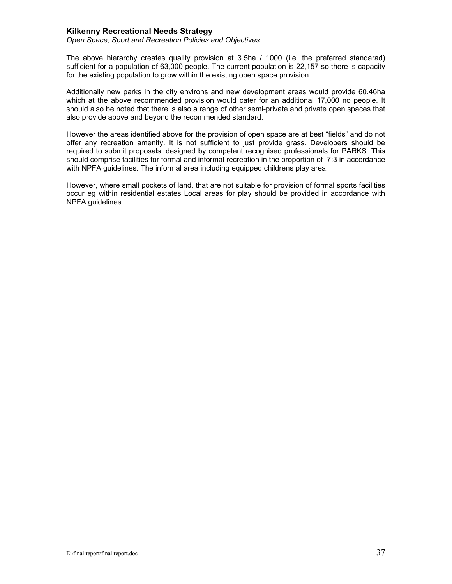*Open Space, Sport and Recreation Policies and Objectives* 

The above hierarchy creates quality provision at 3.5ha / 1000 (i.e. the preferred standarad) sufficient for a population of 63,000 people. The current population is 22,157 so there is capacity for the existing population to grow within the existing open space provision.

Additionally new parks in the city environs and new development areas would provide 60.46ha which at the above recommended provision would cater for an additional 17,000 no people. It should also be noted that there is also a range of other semi-private and private open spaces that also provide above and beyond the recommended standard.

However the areas identified above for the provision of open space are at best "fields" and do not offer any recreation amenity. It is not sufficient to just provide grass. Developers should be required to submit proposals, designed by competent recognised professionals for PARKS. This should comprise facilities for formal and informal recreation in the proportion of 7:3 in accordance with NPFA guidelines. The informal area including equipped childrens play area.

However, where small pockets of land, that are not suitable for provision of formal sports facilities occur eg within residential estates Local areas for play should be provided in accordance with NPFA guidelines.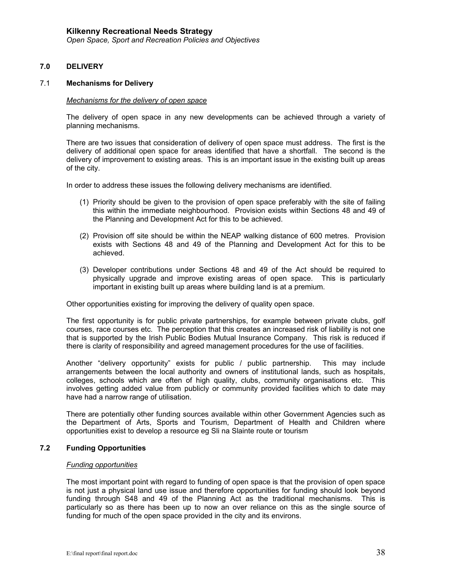*Open Space, Sport and Recreation Policies and Objectives* 

### **7.0 DELIVERY**

### 7.1 **Mechanisms for Delivery**

#### *Mechanisms for the delivery of open space*

The delivery of open space in any new developments can be achieved through a variety of planning mechanisms.

There are two issues that consideration of delivery of open space must address. The first is the delivery of additional open space for areas identified that have a shortfall. The second is the delivery of improvement to existing areas. This is an important issue in the existing built up areas of the city.

In order to address these issues the following delivery mechanisms are identified.

- (1) Priority should be given to the provision of open space preferably with the site of failing this within the immediate neighbourhood. Provision exists within Sections 48 and 49 of the Planning and Development Act for this to be achieved.
- (2) Provision off site should be within the NEAP walking distance of 600 metres. Provision exists with Sections 48 and 49 of the Planning and Development Act for this to be achieved.
- (3) Developer contributions under Sections 48 and 49 of the Act should be required to physically upgrade and improve existing areas of open space. This is particularly important in existing built up areas where building land is at a premium.

Other opportunities existing for improving the delivery of quality open space.

The first opportunity is for public private partnerships, for example between private clubs, golf courses, race courses etc. The perception that this creates an increased risk of liability is not one that is supported by the Irish Public Bodies Mutual Insurance Company. This risk is reduced if there is clarity of responsibility and agreed management procedures for the use of facilities.

Another "delivery opportunity" exists for public / public partnership. This may include arrangements between the local authority and owners of institutional lands, such as hospitals, colleges, schools which are often of high quality, clubs, community organisations etc. This involves getting added value from publicly or community provided facilities which to date may have had a narrow range of utilisation.

There are potentially other funding sources available within other Government Agencies such as the Department of Arts, Sports and Tourism, Department of Health and Children where opportunities exist to develop a resource eg Sli na Slainte route or tourism

# **7.2 Funding Opportunities**

### *Funding opportunities*

The most important point with regard to funding of open space is that the provision of open space is not just a physical land use issue and therefore opportunities for funding should look beyond funding through S48 and 49 of the Planning Act as the traditional mechanisms. This is particularly so as there has been up to now an over reliance on this as the single source of funding for much of the open space provided in the city and its environs.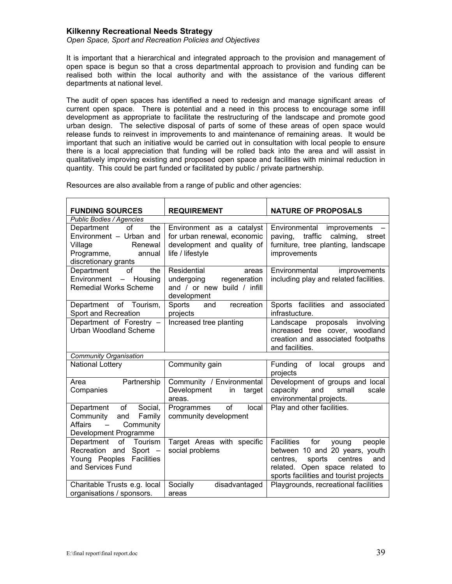*Open Space, Sport and Recreation Policies and Objectives* 

It is important that a hierarchical and integrated approach to the provision and management of open space is begun so that a cross departmental approach to provision and funding can be realised both within the local authority and with the assistance of the various different departments at national level.

The audit of open spaces has identified a need to redesign and manage significant areas of current open space. There is potential and a need in this process to encourage some infill development as appropriate to facilitate the restructuring of the landscape and promote good urban design. The selective disposal of parts of some of these areas of open space would release funds to reinvest in improvements to and maintenance of remaining areas. It would be important that such an initiative would be carried out in consultation with local people to ensure there is a local appreciation that funding will be rolled back into the area and will assist in qualitatively improving existing and proposed open space and facilities with minimal reduction in quantity. This could be part funded or facilitated by public / private partnership.

| <b>FUNDING SOURCES</b>                                                                                                                 | <b>REQUIREMENT</b>                                                                                         | <b>NATURE OF PROPOSALS</b>                                                                                                                                                                        |  |  |
|----------------------------------------------------------------------------------------------------------------------------------------|------------------------------------------------------------------------------------------------------------|---------------------------------------------------------------------------------------------------------------------------------------------------------------------------------------------------|--|--|
| Public Bodies / Agencies                                                                                                               |                                                                                                            |                                                                                                                                                                                                   |  |  |
| the<br>Department<br>οf<br>Environment - Urban and<br>Village<br>Renewal<br>Programme,<br>annual<br>discretionary grants               | Environment as a catalyst<br>for urban renewal, economic<br>development and quality of<br>life / lifestyle | Environmental<br>improvements<br>traffic<br>calming,<br>paving,<br>street<br>furniture, tree planting, landscape<br>improvements                                                                  |  |  |
| of<br>the<br>Department<br>Environment - Housing<br><b>Remedial Works Scheme</b>                                                       | Residential<br>areas<br>undergoing<br>regeneration<br>and / or new build / infill<br>development           | Environmental<br>improvements<br>including play and related facilities.                                                                                                                           |  |  |
| recreation<br>Department of Tourism,<br>Sports<br>and<br>Sport and Recreation<br>projects                                              |                                                                                                            | Sports facilities and associated<br>infrastucture.                                                                                                                                                |  |  |
| Department of Forestry -<br>Increased tree planting<br><b>Urban Woodland Scheme</b>                                                    |                                                                                                            | proposals involving<br>Landscape<br>increased tree cover, woodland<br>creation and associated footpaths<br>and facilities.                                                                        |  |  |
| <b>Community Organisation</b>                                                                                                          |                                                                                                            |                                                                                                                                                                                                   |  |  |
| National Lottery                                                                                                                       | Community gain                                                                                             | Funding<br>of<br>local<br>groups<br>and<br>projects                                                                                                                                               |  |  |
| Partnership<br>Area<br>Companies                                                                                                       | Community / Environmental<br>Development<br>target<br>in<br>areas.                                         | Development of groups and local<br>and<br>capacity<br>small<br>scale<br>environmental projects.                                                                                                   |  |  |
| of<br>Social,<br>Department<br>Community<br>Family<br>and<br>Affairs<br>Community<br>$\overline{\phantom{m}}$<br>Development Programme | of<br>local<br>Programmes<br>community development                                                         | Play and other facilities.                                                                                                                                                                        |  |  |
| Department<br>of Tourism<br>Recreation and<br>Sport -<br>Young Peoples Facilities<br>and Services Fund                                 | Target Areas with specific<br>social problems                                                              | <b>Facilities</b><br>for<br>people<br>young<br>between 10 and 20 years, youth<br>sports<br>centres<br>and<br>centres.<br>related. Open space related to<br>sports facilities and tourist projects |  |  |
| Charitable Trusts e.g. local<br>organisations / sponsors.                                                                              | Socially<br>disadvantaged<br>areas                                                                         | Playgrounds, recreational facilities                                                                                                                                                              |  |  |

Resources are also available from a range of public and other agencies: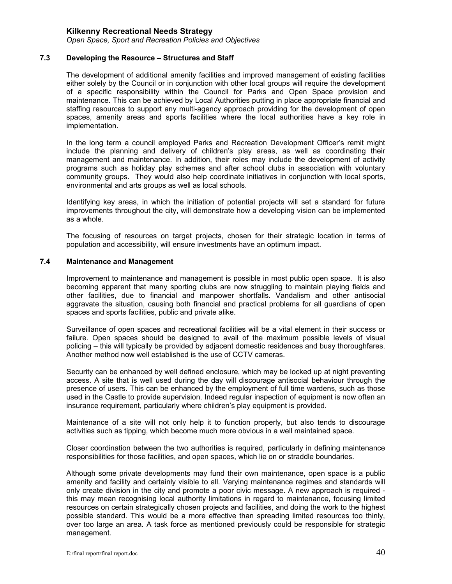*Open Space, Sport and Recreation Policies and Objectives* 

### **7.3 Developing the Resource – Structures and Staff**

The development of additional amenity facilities and improved management of existing facilities either solely by the Council or in conjunction with other local groups will require the development of a specific responsibility within the Council for Parks and Open Space provision and maintenance. This can be achieved by Local Authorities putting in place appropriate financial and staffing resources to support any multi-agency approach providing for the development of open spaces, amenity areas and sports facilities where the local authorities have a key role in implementation.

In the long term a council employed Parks and Recreation Development Officer's remit might include the planning and delivery of children's play areas, as well as coordinating their management and maintenance. In addition, their roles may include the development of activity programs such as holiday play schemes and after school clubs in association with voluntary community groups. They would also help coordinate initiatives in conjunction with local sports, environmental and arts groups as well as local schools.

Identifying key areas, in which the initiation of potential projects will set a standard for future improvements throughout the city, will demonstrate how a developing vision can be implemented as a whole.

The focusing of resources on target projects, chosen for their strategic location in terms of population and accessibility, will ensure investments have an optimum impact.

### **7.4 Maintenance and Management**

Improvement to maintenance and management is possible in most public open space. It is also becoming apparent that many sporting clubs are now struggling to maintain playing fields and other facilities, due to financial and manpower shortfalls. Vandalism and other antisocial aggravate the situation, causing both financial and practical problems for all guardians of open spaces and sports facilities, public and private alike.

Surveillance of open spaces and recreational facilities will be a vital element in their success or failure. Open spaces should be designed to avail of the maximum possible levels of visual policing – this will typically be provided by adjacent domestic residences and busy thoroughfares. Another method now well established is the use of CCTV cameras.

Security can be enhanced by well defined enclosure, which may be locked up at night preventing access. A site that is well used during the day will discourage antisocial behaviour through the presence of users. This can be enhanced by the employment of full time wardens, such as those used in the Castle to provide supervision. Indeed regular inspection of equipment is now often an insurance requirement, particularly where children's play equipment is provided.

Maintenance of a site will not only help it to function properly, but also tends to discourage activities such as tipping, which become much more obvious in a well maintained space.

Closer coordination between the two authorities is required, particularly in defining maintenance responsibilities for those facilities, and open spaces, which lie on or straddle boundaries.

Although some private developments may fund their own maintenance, open space is a public amenity and facility and certainly visible to all. Varying maintenance regimes and standards will only create division in the city and promote a poor civic message. A new approach is required this may mean recognising local authority limitations in regard to maintenance, focusing limited resources on certain strategically chosen projects and facilities, and doing the work to the highest possible standard. This would be a more effective than spreading limited resources too thinly, over too large an area. A task force as mentioned previously could be responsible for strategic management.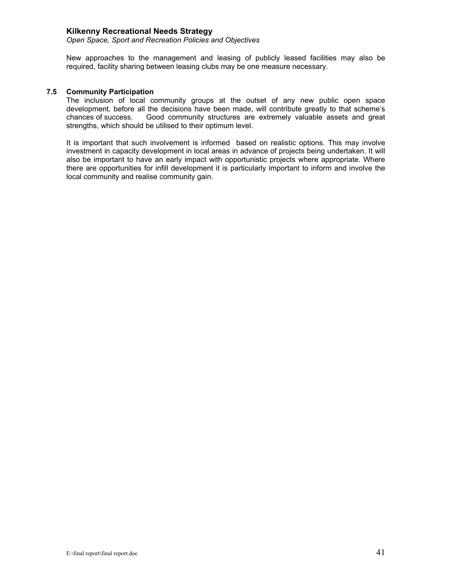*Open Space, Sport and Recreation Policies and Objectives* 

New approaches to the management and leasing of publicly leased facilities may also be required, facility sharing between leasing clubs may be one measure necessary.

### **7.5 Community Participation**

 The inclusion of local community groups at the outset of any new public open space development, before all the decisions have been made, will contribute greatly to that scheme's chances of success. Good community structures are extremely valuable assets and great strengths, which should be utilised to their optimum level.

 It is important that such involvement is informed based on realistic options. This may involve investment in capacity development in local areas in advance of projects being undertaken. It will also be important to have an early impact with opportunistic projects where appropriate. Where there are opportunities for infill development it is particularly important to inform and involve the local community and realise community gain.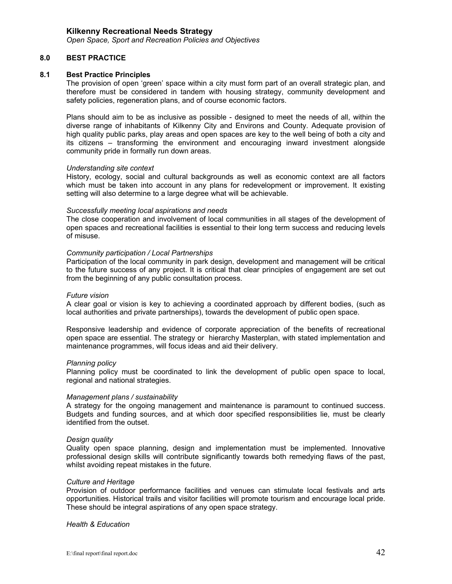*Open Space, Sport and Recreation Policies and Objectives* 

### **8.0 BEST PRACTICE**

### **8.1 Best Practice Principles**

The provision of open 'green' space within a city must form part of an overall strategic plan, and therefore must be considered in tandem with housing strategy, community development and safety policies, regeneration plans, and of course economic factors.

Plans should aim to be as inclusive as possible - designed to meet the needs of all, within the diverse range of inhabitants of Kilkenny City and Environs and County. Adequate provision of high quality public parks, play areas and open spaces are key to the well being of both a city and its citizens – transforming the environment and encouraging inward investment alongside community pride in formally run down areas.

### *Understanding site context*

History, ecology, social and cultural backgrounds as well as economic context are all factors which must be taken into account in any plans for redevelopment or improvement. It existing setting will also determine to a large degree what will be achievable.

### *Successfully meeting local aspirations and needs*

The close cooperation and involvement of local communities in all stages of the development of open spaces and recreational facilities is essential to their long term success and reducing levels of misuse.

### *Community participation / Local Partnerships*

Participation of the local community in park design, development and management will be critical to the future success of any project. It is critical that clear principles of engagement are set out from the beginning of any public consultation process.

### *Future vision*

A clear goal or vision is key to achieving a coordinated approach by different bodies, (such as local authorities and private partnerships), towards the development of public open space.

Responsive leadership and evidence of corporate appreciation of the benefits of recreational open space are essential. The strategy or hierarchy Masterplan, with stated implementation and maintenance programmes, will focus ideas and aid their delivery.

### *Planning policy*

Planning policy must be coordinated to link the development of public open space to local, regional and national strategies.

### *Management plans / sustainability*

A strategy for the ongoing management and maintenance is paramount to continued success. Budgets and funding sources, and at which door specified responsibilities lie, must be clearly identified from the outset.

#### *Design quality*

Quality open space planning, design and implementation must be implemented. Innovative professional design skills will contribute significantly towards both remedying flaws of the past, whilst avoiding repeat mistakes in the future.

#### *Culture and Heritage*

Provision of outdoor performance facilities and venues can stimulate local festivals and arts opportunities. Historical trails and visitor facilities will promote tourism and encourage local pride. These should be integral aspirations of any open space strategy.

*Health & Education*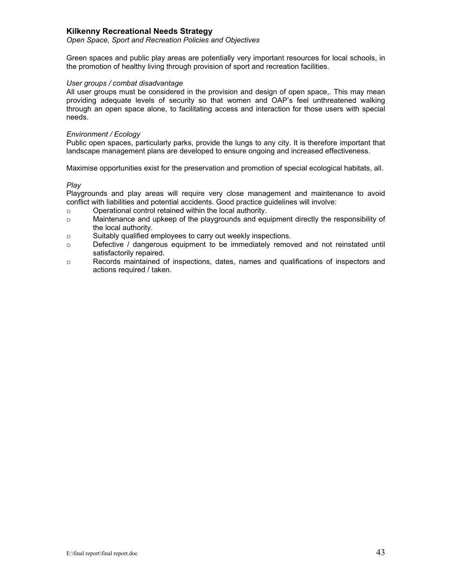*Open Space, Sport and Recreation Policies and Objectives* 

Green spaces and public play areas are potentially very important resources for local schools, in the promotion of healthy living through provision of sport and recreation facilities.

### *User groups / combat disadvantage*

All user groups must be considered in the provision and design of open space,. This may mean providing adequate levels of security so that women and OAP's feel unthreatened walking through an open space alone, to facilitating access and interaction for those users with special needs.

### *Environment / Ecology*

Public open spaces, particularly parks, provide the lungs to any city. It is therefore important that landscape management plans are developed to ensure ongoing and increased effectiveness.

Maximise opportunities exist for the preservation and promotion of special ecological habitats, all.

### *Play*

Playgrounds and play areas will require very close management and maintenance to avoid conflict with liabilities and potential accidents. Good practice guidelines will involve:

- o Operational control retained within the local authority.
- o Maintenance and upkeep of the playgrounds and equipment directly the responsibility of the local authority.
- o Suitably qualified employees to carry out weekly inspections.
- o Defective / dangerous equipment to be immediately removed and not reinstated until satisfactorily repaired.
- o Records maintained of inspections, dates, names and qualifications of inspectors and actions required / taken.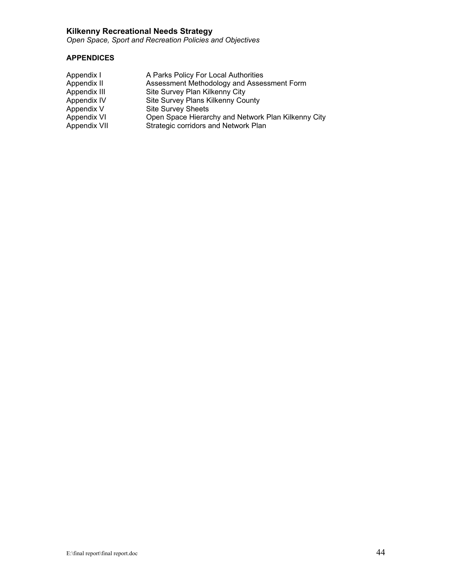*Open Space, Sport and Recreation Policies and Objectives* 

# **APPENDICES**

| Appendix I   | A Parks Policy For Local Authorities                |
|--------------|-----------------------------------------------------|
| Appendix II  | Assessment Methodology and Assessment Form          |
| Appendix III | Site Survey Plan Kilkenny City                      |
| Appendix IV  | Site Survey Plans Kilkenny County                   |
| Appendix V   | <b>Site Survey Sheets</b>                           |
| Appendix VI  | Open Space Hierarchy and Network Plan Kilkenny City |
| Appendix VII | Strategic corridors and Network Plan                |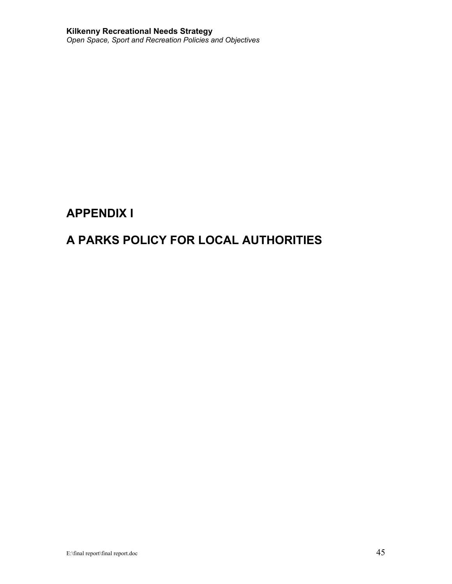# **APPENDIX I**

# **A PARKS POLICY FOR LOCAL AUTHORITIES**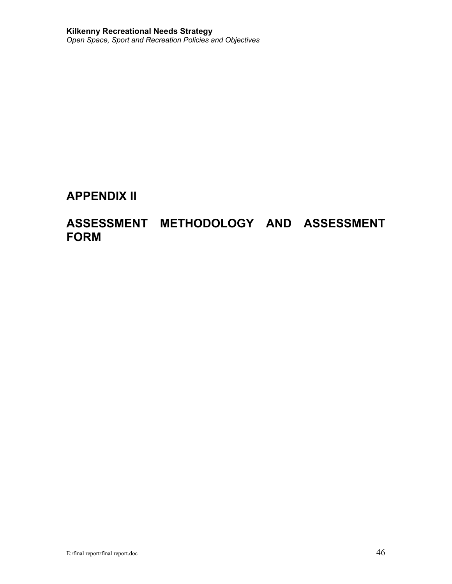# **APPENDIX II**

# **ASSESSMENT METHODOLOGY AND ASSESSMENT FORM**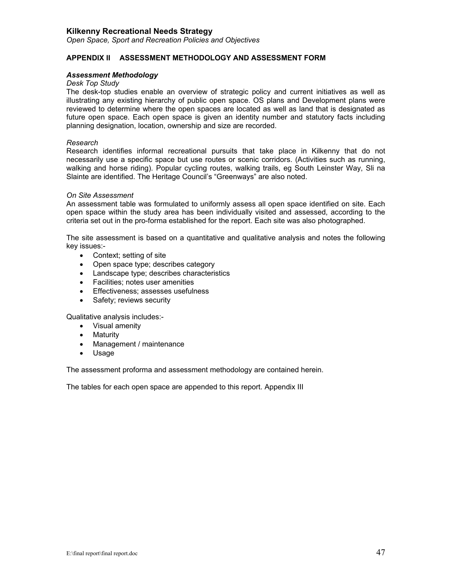*Open Space, Sport and Recreation Policies and Objectives* 

### **APPENDIX II ASSESSMENT METHODOLOGY AND ASSESSMENT FORM**

### *Assessment Methodology*

### *Desk Top Study*

The desk-top studies enable an overview of strategic policy and current initiatives as well as illustrating any existing hierarchy of public open space. OS plans and Development plans were reviewed to determine where the open spaces are located as well as land that is designated as future open space. Each open space is given an identity number and statutory facts including planning designation, location, ownership and size are recorded.

#### *Research*

Research identifies informal recreational pursuits that take place in Kilkenny that do not necessarily use a specific space but use routes or scenic corridors. (Activities such as running, walking and horse riding). Popular cycling routes, walking trails, eg South Leinster Way, Sli na Slainte are identified. The Heritage Council's "Greenways" are also noted.

### *On Site Assessment*

An assessment table was formulated to uniformly assess all open space identified on site. Each open space within the study area has been individually visited and assessed, according to the criteria set out in the pro-forma established for the report. Each site was also photographed.

The site assessment is based on a quantitative and qualitative analysis and notes the following key issues:-

- Context; setting of site
- Open space type; describes category
- Landscape type; describes characteristics
- Facilities; notes user amenities
- Effectiveness; assesses usefulness
- Safety; reviews security

Qualitative analysis includes:-

- Visual amenity
- **Maturity**
- Management / maintenance
- Usage

The assessment proforma and assessment methodology are contained herein.

The tables for each open space are appended to this report. Appendix III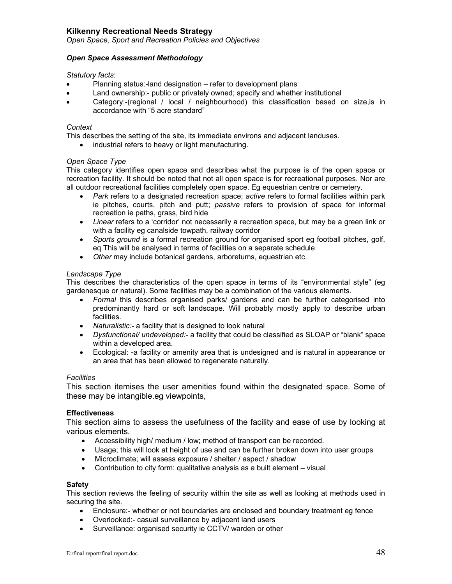*Open Space, Sport and Recreation Policies and Objectives* 

# *Open Space Assessment Methodology*

*Statutory facts*:

- Planning status:-land designation refer to development plans
- Land ownership:- public or privately owned; specify and whether institutional
- Category:-(regional / local / neighbourhood) this classification based on size,is in accordance with "5 acre standard"

### *Context*

This describes the setting of the site, its immediate environs and adjacent landuses.

industrial refers to heavy or light manufacturing.

# *Open Space Type*

This category identifies open space and describes what the purpose is of the open space or recreation facility. It should be noted that not all open space is for recreational purposes. Nor are all outdoor recreational facilities completely open space. Eg equestrian centre or cemetery.

- *Park* refers to a designated recreation space; *active* refers to formal facilities within park ie pitches, courts, pitch and putt; *passive* refers to provision of space for informal recreation ie paths, grass, bird hide
- *Linear* refers to a 'corridor' not necessarily a recreation space, but may be a green link or with a facility eg canalside towpath, railway corridor
- *Sports ground* is a formal recreation ground for organised sport eg football pitches, golf, eq This will be analysed in terms of facilities on a separate schedule
- *Other* may include botanical gardens, arboretums, equestrian etc.

# *Landscape Type*

This describes the characteristics of the open space in terms of its "environmental style" (eg gardenesque or natural). Some facilities may be a combination of the various elements.

- *Formal* this describes organised parks/ gardens and can be further categorised into predominantly hard or soft landscape. Will probably mostly apply to describe urban facilities.
- *Naturalistic:-* a facility that is designed to look natural
- *Dysfunctional/ undeveloped:-* a facility that could be classified as SLOAP or "blank" space within a developed area.
- Ecological: -a facility or amenity area that is undesigned and is natural in appearance or an area that has been allowed to regenerate naturally.

### *Facilities*

This section itemises the user amenities found within the designated space. Some of these may be intangible.eg viewpoints,

### **Effectiveness**

This section aims to assess the usefulness of the facility and ease of use by looking at various elements.

- Accessibility high/ medium / low; method of transport can be recorded.
- Usage; this will look at height of use and can be further broken down into user groups
- Microclimate; will assess exposure / shelter / aspect / shadow
- Contribution to city form: qualitative analysis as a built element visual

### **Safety**

This section reviews the feeling of security within the site as well as looking at methods used in securing the site.

- Enclosure:- whether or not boundaries are enclosed and boundary treatment eg fence
- Overlooked:- casual surveillance by adjacent land users
- Surveillance: organised security ie CCTV/ warden or other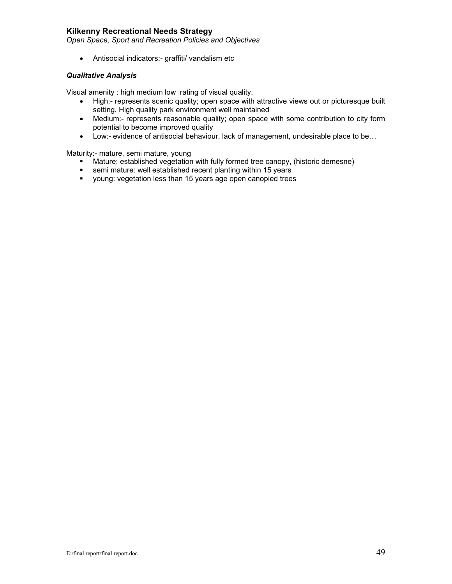*Open Space, Sport and Recreation Policies and Objectives* 

• Antisocial indicators:- graffiti/ vandalism etc

### *Qualitative Analysis*

Visual amenity : high medium low rating of visual quality.

- High:- represents scenic quality; open space with attractive views out or picturesque built setting. High quality park environment well maintained
- Medium:- represents reasonable quality; open space with some contribution to city form potential to become improved quality
- Low:- evidence of antisocial behaviour, lack of management, undesirable place to be…

Maturity:- mature, semi mature, young

- Mature: established vegetation with fully formed tree canopy, (historic demesne)
- **semi mature: well established recent planting within 15 years**
- young: vegetation less than 15 years age open canopied trees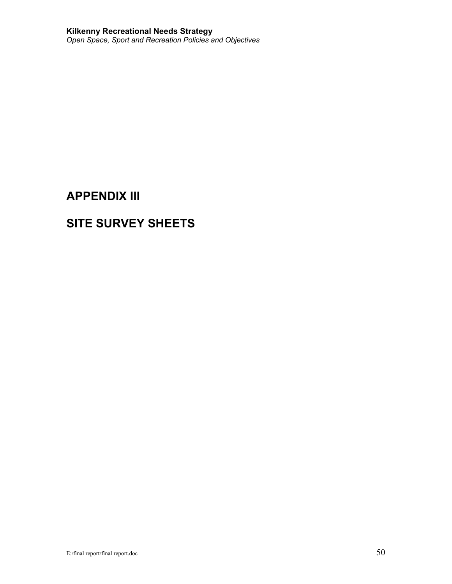# **APPENDIX III**

# **SITE SURVEY SHEETS**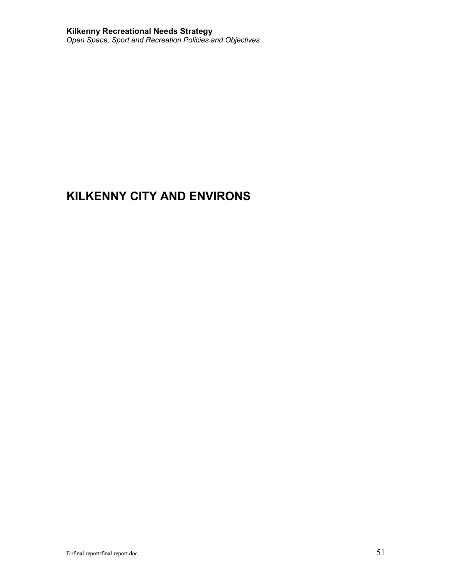# **KILKENNY CITY AND ENVIRONS**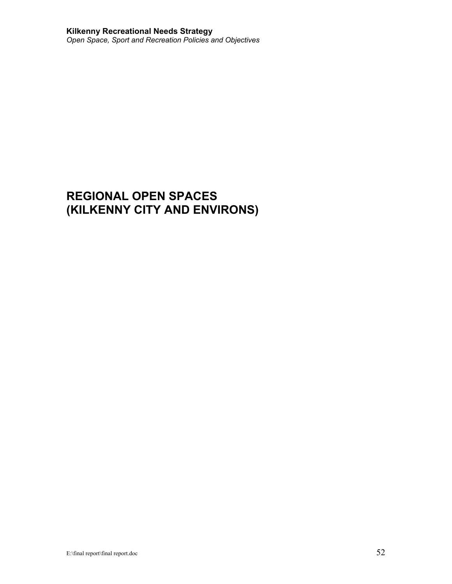# **REGIONAL OPEN SPACES (KILKENNY CITY AND ENVIRONS)**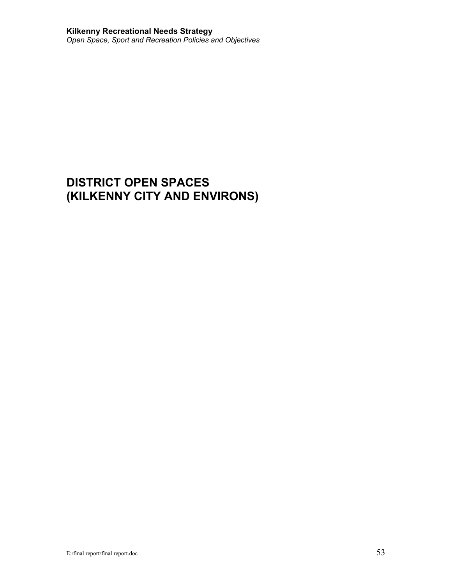# **DISTRICT OPEN SPACES (KILKENNY CITY AND ENVIRONS)**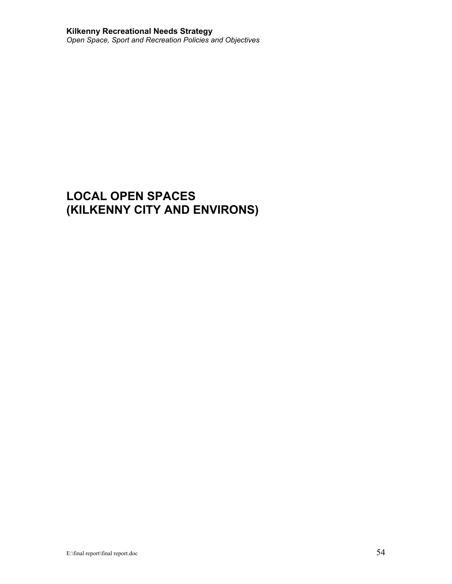# **LOCAL OPEN SPACES (KILKENNY CITY AND ENVIRONS)**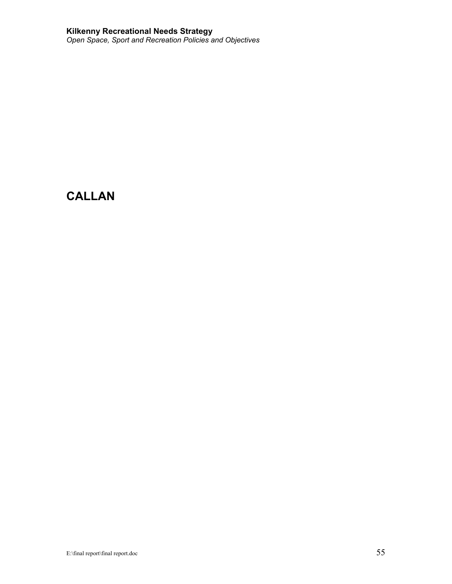*Open Space, Sport and Recreation Policies and Objectives* 

# **CALLAN**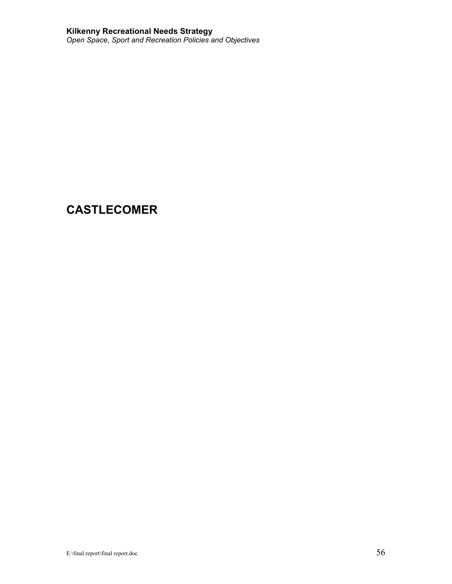# **CASTLECOMER**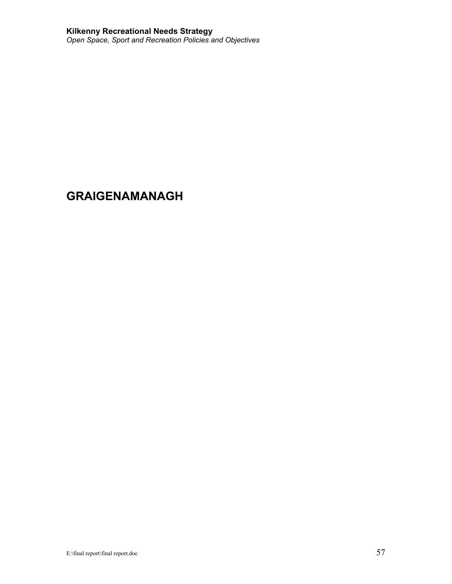*Open Space, Sport and Recreation Policies and Objectives* 

**GRAIGENAMANAGH**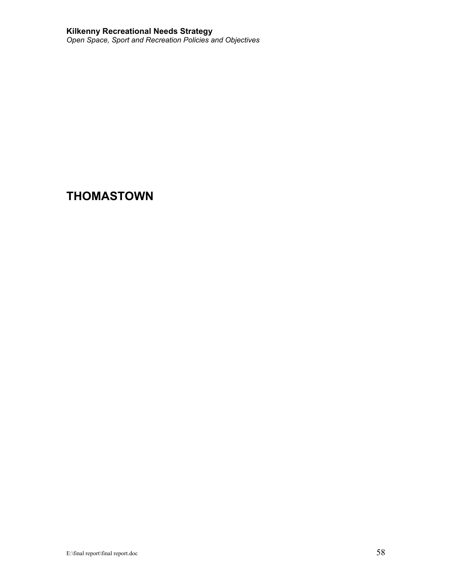*Open Space, Sport and Recreation Policies and Objectives* 

**THOMASTOWN**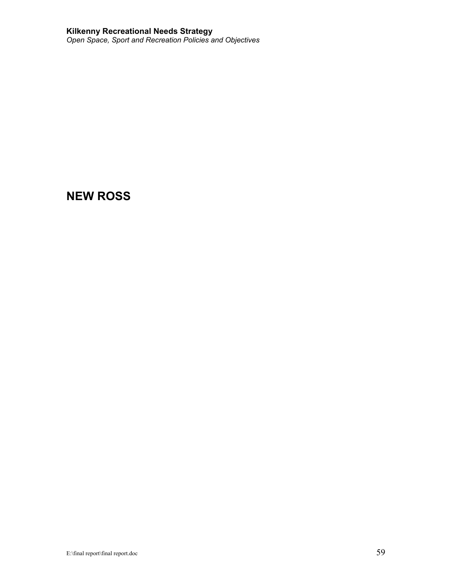*Open Space, Sport and Recreation Policies and Objectives* 

# **NEW ROSS**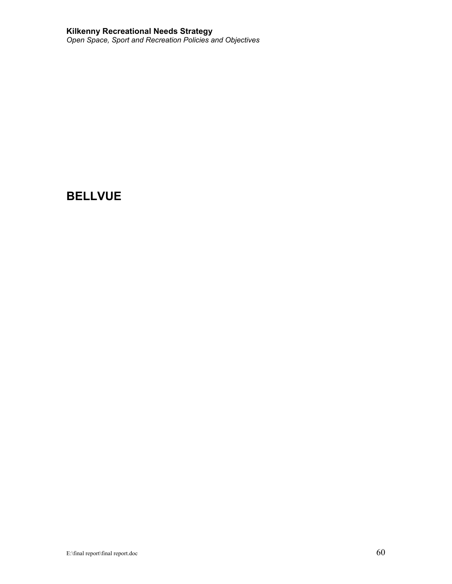*Open Space, Sport and Recreation Policies and Objectives* 

# **BELLVUE**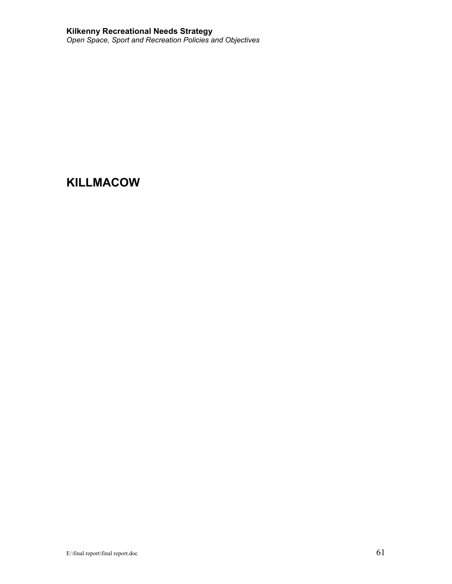# **KILLMACOW**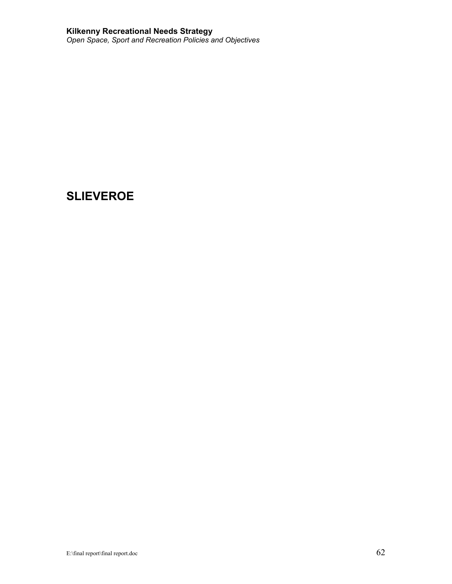*Open Space, Sport and Recreation Policies and Objectives* 

# **SLIEVEROE**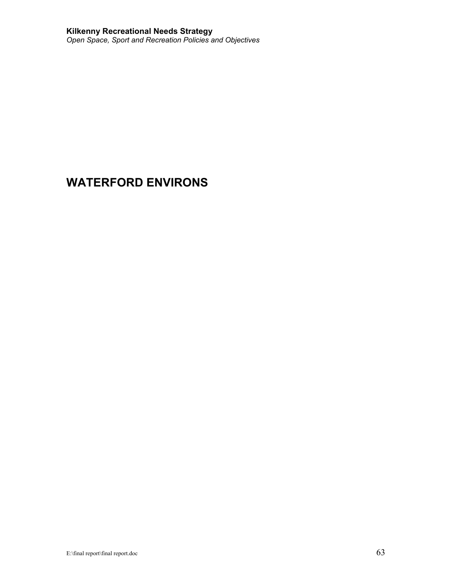# **WATERFORD ENVIRONS**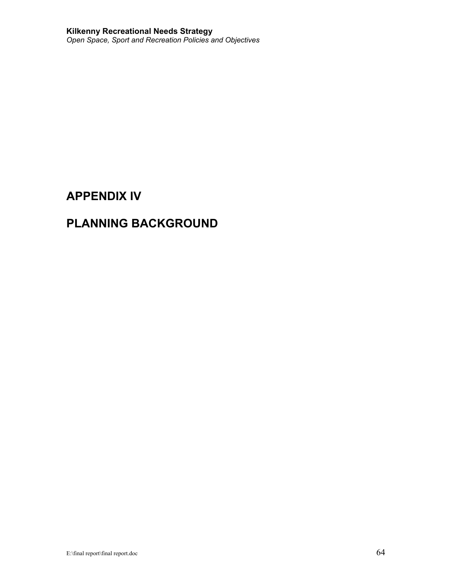# **APPENDIX IV**

# **PLANNING BACKGROUND**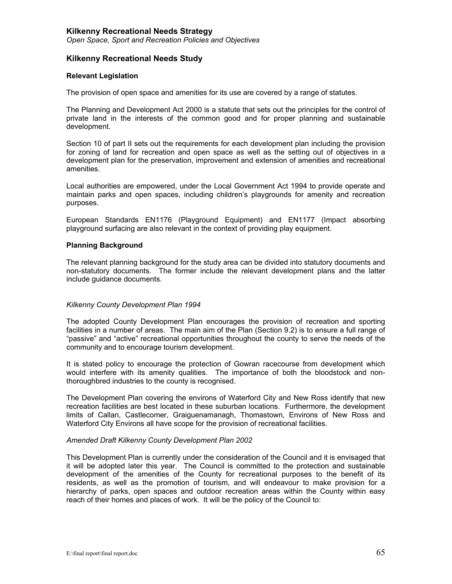*Open Space, Sport and Recreation Policies and Objectives* 

# **Kilkenny Recreational Needs Study**

### **Relevant Legislation**

The provision of open space and amenities for its use are covered by a range of statutes.

The Planning and Development Act 2000 is a statute that sets out the principles for the control of private land in the interests of the common good and for proper planning and sustainable development.

Section 10 of part II sets out the requirements for each development plan including the provision for zoning of land for recreation and open space as well as the setting out of objectives in a development plan for the preservation, improvement and extension of amenities and recreational amenities.

Local authorities are empowered, under the Local Government Act 1994 to provide operate and maintain parks and open spaces, including children's playgrounds for amenity and recreation purposes.

European Standards EN1176 (Playground Equipment) and EN1177 (Impact absorbing playground surfacing are also relevant in the context of providing play equipment.

### **Planning Background**

The relevant planning background for the study area can be divided into statutory documents and non-statutory documents. The former include the relevant development plans and the latter include guidance documents.

### *Kilkenny County Development Plan 1994*

The adopted County Development Plan encourages the provision of recreation and sporting facilities in a number of areas. The main aim of the Plan (Section 9.2) is to ensure a full range of "passive" and "active" recreational opportunities throughout the county to serve the needs of the community and to encourage tourism development.

It is stated policy to encourage the protection of Gowran racecourse from development which would interfere with its amenity qualities. The importance of both the bloodstock and nonthoroughbred industries to the county is recognised.

The Development Plan covering the environs of Waterford City and New Ross identify that new recreation facilities are best located in these suburban locations. Furthermore, the development limits of Callan, Castlecomer, Graiguenamanagh, Thomastown, Environs of New Ross and Waterford City Environs all have scope for the provision of recreational facilities.

#### *Amended Draft Kilkenny County Development Plan 2002*

This Development Plan is currently under the consideration of the Council and it is envisaged that it will be adopted later this year. The Council is committed to the protection and sustainable development of the amenities of the County for recreational purposes to the benefit of its residents, as well as the promotion of tourism, and will endeavour to make provision for a hierarchy of parks, open spaces and outdoor recreation areas within the County within easy reach of their homes and places of work. It will be the policy of the Council to: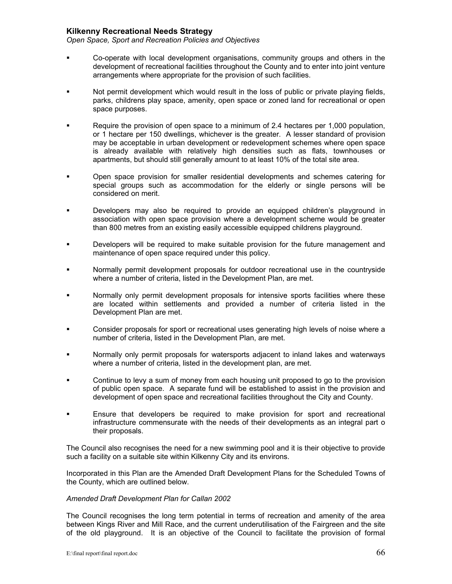*Open Space, Sport and Recreation Policies and Objectives* 

- Co-operate with local development organisations, community groups and others in the development of recreational facilities throughout the County and to enter into joint venture arrangements where appropriate for the provision of such facilities.
- Not permit development which would result in the loss of public or private playing fields, parks, childrens play space, amenity, open space or zoned land for recreational or open space purposes.
- Require the provision of open space to a minimum of 2.4 hectares per 1,000 population, or 1 hectare per 150 dwellings, whichever is the greater. A lesser standard of provision may be acceptable in urban development or redevelopment schemes where open space is already available with relatively high densities such as flats, townhouses or apartments, but should still generally amount to at least 10% of the total site area.
- Open space provision for smaller residential developments and schemes catering for special groups such as accommodation for the elderly or single persons will be considered on merit.
- Developers may also be required to provide an equipped children's playground in association with open space provision where a development scheme would be greater than 800 metres from an existing easily accessible equipped childrens playground.
- Developers will be required to make suitable provision for the future management and maintenance of open space required under this policy.
- Normally permit development proposals for outdoor recreational use in the countryside where a number of criteria, listed in the Development Plan, are met.
- **Normally only permit development proposals for intensive sports facilities where these** are located within settlements and provided a number of criteria listed in the Development Plan are met.
- Consider proposals for sport or recreational uses generating high levels of noise where a number of criteria, listed in the Development Plan, are met.
- Normally only permit proposals for watersports adjacent to inland lakes and waterways where a number of criteria, listed in the development plan, are met.
- Continue to levy a sum of money from each housing unit proposed to go to the provision of public open space. A separate fund will be established to assist in the provision and development of open space and recreational facilities throughout the City and County.
- Ensure that developers be required to make provision for sport and recreational infrastructure commensurate with the needs of their developments as an integral part o their proposals.

The Council also recognises the need for a new swimming pool and it is their objective to provide such a facility on a suitable site within Kilkenny City and its environs.

Incorporated in this Plan are the Amended Draft Development Plans for the Scheduled Towns of the County, which are outlined below.

### *Amended Draft Development Plan for Callan 2002*

The Council recognises the long term potential in terms of recreation and amenity of the area between Kings River and Mill Race, and the current underutilisation of the Fairgreen and the site of the old playground. It is an objective of the Council to facilitate the provision of formal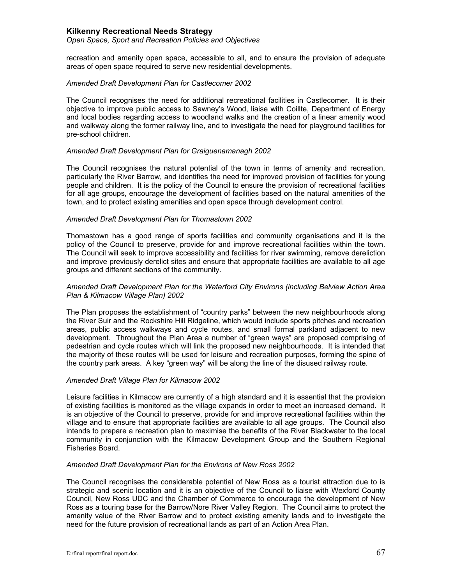*Open Space, Sport and Recreation Policies and Objectives* 

recreation and amenity open space, accessible to all, and to ensure the provision of adequate areas of open space required to serve new residential developments.

### *Amended Draft Development Plan for Castlecomer 2002*

The Council recognises the need for additional recreational facilities in Castlecomer. It is their objective to improve public access to Sawney's Wood, liaise with Coillte, Department of Energy and local bodies regarding access to woodland walks and the creation of a linear amenity wood and walkway along the former railway line, and to investigate the need for playground facilities for pre-school children.

### *Amended Draft Development Plan for Graiguenamanagh 2002*

The Council recognises the natural potential of the town in terms of amenity and recreation, particularly the River Barrow, and identifies the need for improved provision of facilities for young people and children. It is the policy of the Council to ensure the provision of recreational facilities for all age groups, encourage the development of facilities based on the natural amenities of the town, and to protect existing amenities and open space through development control.

### *Amended Draft Development Plan for Thomastown 2002*

Thomastown has a good range of sports facilities and community organisations and it is the policy of the Council to preserve, provide for and improve recreational facilities within the town. The Council will seek to improve accessibility and facilities for river swimming, remove dereliction and improve previously derelict sites and ensure that appropriate facilities are available to all age groups and different sections of the community.

### *Amended Draft Development Plan for the Waterford City Environs (including Belview Action Area Plan & Kilmacow Village Plan) 2002*

The Plan proposes the establishment of "country parks" between the new neighbourhoods along the River Suir and the Rockshire Hill Ridgeline, which would include sports pitches and recreation areas, public access walkways and cycle routes, and small formal parkland adjacent to new development. Throughout the Plan Area a number of "green ways" are proposed comprising of pedestrian and cycle routes which will link the proposed new neighbourhoods. It is intended that the majority of these routes will be used for leisure and recreation purposes, forming the spine of the country park areas. A key "green way" will be along the line of the disused railway route.

### *Amended Draft Village Plan for Kilmacow 2002*

Leisure facilities in Kilmacow are currently of a high standard and it is essential that the provision of existing facilities is monitored as the village expands in order to meet an increased demand. It is an objective of the Council to preserve, provide for and improve recreational facilities within the village and to ensure that appropriate facilities are available to all age groups. The Council also intends to prepare a recreation plan to maximise the benefits of the River Blackwater to the local community in conjunction with the Kilmacow Development Group and the Southern Regional Fisheries Board.

### *Amended Draft Development Plan for the Environs of New Ross 2002*

The Council recognises the considerable potential of New Ross as a tourist attraction due to is strategic and scenic location and it is an objective of the Council to liaise with Wexford County Council, New Ross UDC and the Chamber of Commerce to encourage the development of New Ross as a touring base for the Barrow/Nore River Valley Region. The Council aims to protect the amenity value of the River Barrow and to protect existing amenity lands and to investigate the need for the future provision of recreational lands as part of an Action Area Plan.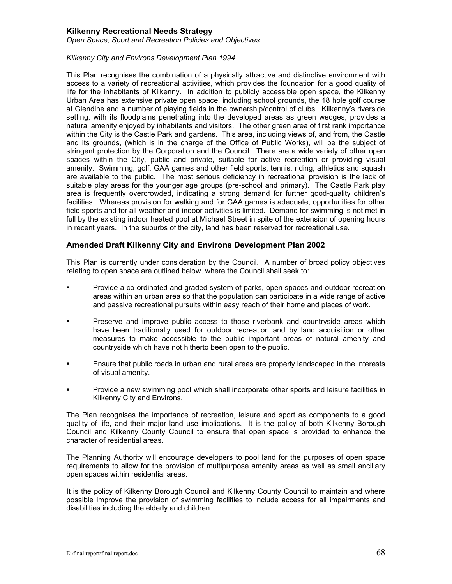*Open Space, Sport and Recreation Policies and Objectives* 

### *Kilkenny City and Environs Development Plan 1994*

This Plan recognises the combination of a physically attractive and distinctive environment with access to a variety of recreational activities, which provides the foundation for a good quality of life for the inhabitants of Kilkenny. In addition to publicly accessible open space, the Kilkenny Urban Area has extensive private open space, including school grounds, the 18 hole golf course at Glendine and a number of playing fields in the ownership/control of clubs. Kilkenny's riverside setting, with its floodplains penetrating into the developed areas as green wedges, provides a natural amenity enjoyed by inhabitants and visitors. The other green area of first rank importance within the City is the Castle Park and gardens. This area, including views of, and from, the Castle and its grounds, (which is in the charge of the Office of Public Works), will be the subject of stringent protection by the Corporation and the Council. There are a wide variety of other open spaces within the City, public and private, suitable for active recreation or providing visual amenity. Swimming, golf, GAA games and other field sports, tennis, riding, athletics and squash are available to the public. The most serious deficiency in recreational provision is the lack of suitable play areas for the younger age groups (pre-school and primary). The Castle Park play area is frequently overcrowded, indicating a strong demand for further good-quality children's facilities. Whereas provision for walking and for GAA games is adequate, opportunities for other field sports and for all-weather and indoor activities is limited. Demand for swimming is not met in full by the existing indoor heated pool at Michael Street in spite of the extension of opening hours in recent years. In the suburbs of the city, land has been reserved for recreational use.

# **Amended Draft Kilkenny City and Environs Development Plan 2002**

This Plan is currently under consideration by the Council. A number of broad policy objectives relating to open space are outlined below, where the Council shall seek to:

- Provide a co-ordinated and graded system of parks, open spaces and outdoor recreation areas within an urban area so that the population can participate in a wide range of active and passive recreational pursuits within easy reach of their home and places of work.
- Preserve and improve public access to those riverbank and countryside areas which have been traditionally used for outdoor recreation and by land acquisition or other measures to make accessible to the public important areas of natural amenity and countryside which have not hitherto been open to the public.
- Ensure that public roads in urban and rural areas are properly landscaped in the interests of visual amenity.
- Provide a new swimming pool which shall incorporate other sports and leisure facilities in Kilkenny City and Environs.

The Plan recognises the importance of recreation, leisure and sport as components to a good quality of life, and their major land use implications. It is the policy of both Kilkenny Borough Council and Kilkenny County Council to ensure that open space is provided to enhance the character of residential areas.

The Planning Authority will encourage developers to pool land for the purposes of open space requirements to allow for the provision of multipurpose amenity areas as well as small ancillary open spaces within residential areas.

It is the policy of Kilkenny Borough Council and Kilkenny County Council to maintain and where possible improve the provision of swimming facilities to include access for all impairments and disabilities including the elderly and children.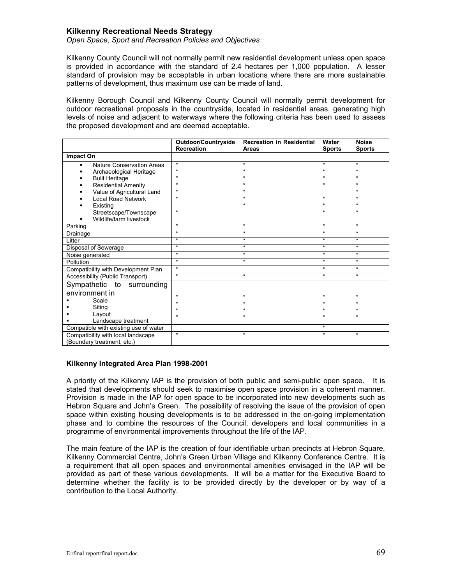*Open Space, Sport and Recreation Policies and Objectives* 

Kilkenny County Council will not normally permit new residential development unless open space is provided in accordance with the standard of 2.4 hectares per 1,000 population. A lesser standard of provision may be acceptable in urban locations where there are more sustainable patterns of development, thus maximum use can be made of land.

Kilkenny Borough Council and Kilkenny County Council will normally permit development for outdoor recreational proposals in the countryside, located in residential areas, generating high levels of noise and adjacent to waterways where the following criteria has been used to assess the proposed development and are deemed acceptable.

|                                       | Outdoor/Countryside<br><b>Recreation</b> | <b>Recreation in Residential</b><br><b>Areas</b> | Water<br><b>Sports</b> | <b>Noise</b><br><b>Sports</b> |
|---------------------------------------|------------------------------------------|--------------------------------------------------|------------------------|-------------------------------|
| Impact On                             |                                          |                                                  |                        |                               |
|                                       | $\star$                                  | $\star$                                          | $\star$                | $\star$                       |
| Nature Conservation Areas             |                                          |                                                  |                        |                               |
| Archaeological Heritage               | $\star$                                  | $\star$                                          | $\star$                | $\star$                       |
| <b>Built Heritage</b>                 | $\star$                                  | $\star$                                          | $\star$                | $\star$                       |
| <b>Residential Amenity</b>            | $\star$                                  | $\star$                                          | $\star$                | $\star$                       |
| Value of Agricultural Land            | ÷                                        | $\star$                                          |                        | $\star$                       |
| <b>Local Road Network</b>             | $\star$                                  | $\star$                                          | $\star$                | $\star$                       |
| Existing                              |                                          | $\star$                                          | $\star$                | ÷                             |
| Streetscape/Townscape                 | $\star$                                  |                                                  | $\star$                | ÷                             |
| Wildlife/farm livestock               |                                          |                                                  |                        |                               |
| Parking                               | $\star$                                  | $\star$                                          | $\star$                | $\star$                       |
| Drainage                              | $\star$                                  | $\star$                                          | $\star$                | $\star$                       |
| Litter                                | $\star$                                  | $\star$                                          | $\ast$                 | $\star$                       |
| Disposal of Sewerage                  | $\star$                                  | $\star$                                          | $\star$                | $\star$                       |
| Noise generated                       | $\star$                                  | $\star$                                          | $\star$                | $\star$                       |
| Pollution                             | $\star$                                  | $\star$                                          | $\star$                | $\star$                       |
| Compatibility with Development Plan   | $\star$                                  |                                                  | $\star$                | $\star$                       |
| Accessibility (Public Transport)      | $\star$                                  | $\star$                                          | $\star$                | $\star$                       |
| Sympathetic to<br>surrounding         |                                          |                                                  |                        |                               |
| environment in                        | $\star$                                  | $\star$                                          | $\star$                | $\star$                       |
| Scale                                 | $\star$                                  | $\star$                                          | $\star$                | $\star$                       |
| Siting                                | $\star$                                  | $\star$                                          | $\star$                | $\star$                       |
| Layout                                | $\star$                                  | $\star$                                          | $\star$                | $\star$                       |
| Landscape treatment                   |                                          |                                                  |                        |                               |
| Compatible with existing use of water |                                          |                                                  | $\star$                |                               |
| Compatibility with local landscape    | $\star$                                  | $\star$                                          | $\star$                | $\star$                       |
| (Boundary treatment, etc.)            |                                          |                                                  |                        |                               |

### **Kilkenny Integrated Area Plan 1998-2001**

A priority of the Kilkenny IAP is the provision of both public and semi-public open space. It is stated that developments should seek to maximise open space provision in a coherent manner. Provision is made in the IAP for open space to be incorporated into new developments such as Hebron Square and John's Green. The possibility of resolving the issue of the provision of open space within existing housing developments is to be addressed in the on-going implementation phase and to combine the resources of the Council, developers and local communities in a programme of environmental improvements throughout the life of the IAP.

The main feature of the IAP is the creation of four identifiable urban precincts at Hebron Square, Kilkenny Commercial Centre, John's Green Urban Village and Kilkenny Conference Centre. It is a requirement that all open spaces and environmental amenities envisaged in the IAP will be provided as part of these various developments. It will be a matter for the Executive Board to determine whether the facility is to be provided directly by the developer or by way of a contribution to the Local Authority.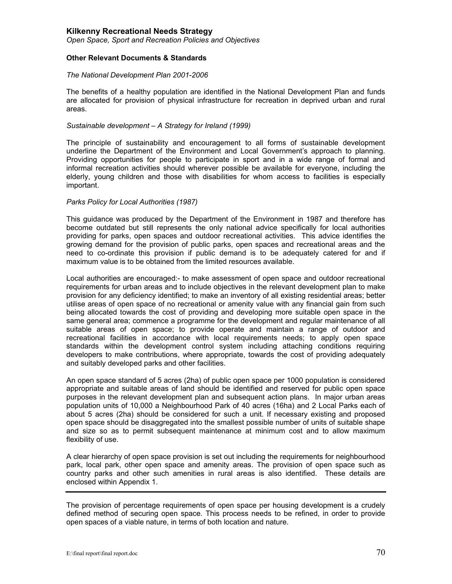*Open Space, Sport and Recreation Policies and Objectives* 

### **Other Relevant Documents & Standards**

### *The National Development Plan 2001-2006*

The benefits of a healthy population are identified in the National Development Plan and funds are allocated for provision of physical infrastructure for recreation in deprived urban and rural areas.

### *Sustainable development – A Strategy for Ireland (1999)*

The principle of sustainability and encouragement to all forms of sustainable development underline the Department of the Environment and Local Government's approach to planning. Providing opportunities for people to participate in sport and in a wide range of formal and informal recreation activities should wherever possible be available for everyone, including the elderly, young children and those with disabilities for whom access to facilities is especially important.

### *Parks Policy for Local Authorities (1987)*

This guidance was produced by the Department of the Environment in 1987 and therefore has become outdated but still represents the only national advice specifically for local authorities providing for parks, open spaces and outdoor recreational activities. This advice identifies the growing demand for the provision of public parks, open spaces and recreational areas and the need to co-ordinate this provision if public demand is to be adequately catered for and if maximum value is to be obtained from the limited resources available.

Local authorities are encouraged:- to make assessment of open space and outdoor recreational requirements for urban areas and to include objectives in the relevant development plan to make provision for any deficiency identified; to make an inventory of all existing residential areas; better utilise areas of open space of no recreational or amenity value with any financial gain from such being allocated towards the cost of providing and developing more suitable open space in the same general area; commence a programme for the development and regular maintenance of all suitable areas of open space; to provide operate and maintain a range of outdoor and recreational facilities in accordance with local requirements needs; to apply open space standards within the development control system including attaching conditions requiring developers to make contributions, where appropriate, towards the cost of providing adequately and suitably developed parks and other facilities.

An open space standard of 5 acres (2ha) of public open space per 1000 population is considered appropriate and suitable areas of land should be identified and reserved for public open space purposes in the relevant development plan and subsequent action plans. In major urban areas population units of 10,000 a Neighbourhood Park of 40 acres (16ha) and 2 Local Parks each of about 5 acres (2ha) should be considered for such a unit. If necessary existing and proposed open space should be disaggregated into the smallest possible number of units of suitable shape and size so as to permit subsequent maintenance at minimum cost and to allow maximum flexibility of use.

A clear hierarchy of open space provision is set out including the requirements for neighbourhood park, local park, other open space and amenity areas. The provision of open space such as country parks and other such amenities in rural areas is also identified. These details are enclosed within Appendix 1.

The provision of percentage requirements of open space per housing development is a crudely defined method of securing open space. This process needs to be refined, in order to provide open spaces of a viable nature, in terms of both location and nature.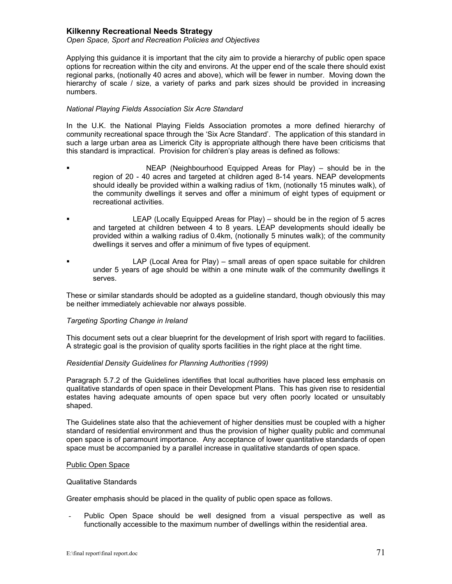*Open Space, Sport and Recreation Policies and Objectives* 

Applying this guidance it is important that the city aim to provide a hierarchy of public open space options for recreation within the city and environs. At the upper end of the scale there should exist regional parks, (notionally 40 acres and above), which will be fewer in number. Moving down the hierarchy of scale / size, a variety of parks and park sizes should be provided in increasing numbers.

### *National Playing Fields Association Six Acre Standard*

In the U.K. the National Playing Fields Association promotes a more defined hierarchy of community recreational space through the 'Six Acre Standard'. The application of this standard in such a large urban area as Limerick City is appropriate although there have been criticisms that this standard is impractical. Provision for children's play areas is defined as follows:

- NEAP (Neighbourhood Equipped Areas for Play) should be in the region of 20 - 40 acres and targeted at children aged 8-14 years. NEAP developments should ideally be provided within a walking radius of 1km, (notionally 15 minutes walk), of the community dwellings it serves and offer a minimum of eight types of equipment or recreational activities.
- LEAP (Locally Equipped Areas for Play) should be in the region of 5 acres and targeted at children between 4 to 8 years. LEAP developments should ideally be provided within a walking radius of 0.4km, (notionally 5 minutes walk); of the community dwellings it serves and offer a minimum of five types of equipment.
- LAP (Local Area for Play) small areas of open space suitable for children under 5 years of age should be within a one minute walk of the community dwellings it serves.

These or similar standards should be adopted as a guideline standard, though obviously this may be neither immediately achievable nor always possible.

### *Targeting Sporting Change in Ireland*

This document sets out a clear blueprint for the development of Irish sport with regard to facilities. A strategic goal is the provision of quality sports facilities in the right place at the right time.

### *Residential Density Guidelines for Planning Authorities (1999)*

Paragraph 5.7.2 of the Guidelines identifies that local authorities have placed less emphasis on qualitative standards of open space in their Development Plans. This has given rise to residential estates having adequate amounts of open space but very often poorly located or unsuitably shaped.

The Guidelines state also that the achievement of higher densities must be coupled with a higher standard of residential environment and thus the provision of higher quality public and communal open space is of paramount importance. Any acceptance of lower quantitative standards of open space must be accompanied by a parallel increase in qualitative standards of open space.

#### Public Open Space

### Qualitative Standards

Greater emphasis should be placed in the quality of public open space as follows.

Public Open Space should be well designed from a visual perspective as well as functionally accessible to the maximum number of dwellings within the residential area.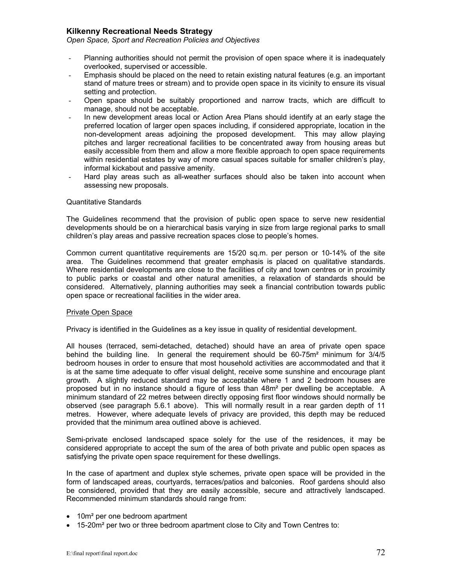*Open Space, Sport and Recreation Policies and Objectives* 

- Planning authorities should not permit the provision of open space where it is inadequately overlooked, supervised or accessible.
- Emphasis should be placed on the need to retain existing natural features (e.g. an important stand of mature trees or stream) and to provide open space in its vicinity to ensure its visual setting and protection.
- Open space should be suitably proportioned and narrow tracts, which are difficult to manage, should not be acceptable.
- In new development areas local or Action Area Plans should identify at an early stage the preferred location of larger open spaces including, if considered appropriate, location in the non-development areas adjoining the proposed development. This may allow playing pitches and larger recreational facilities to be concentrated away from housing areas but easily accessible from them and allow a more flexible approach to open space requirements within residential estates by way of more casual spaces suitable for smaller children's play, informal kickabout and passive amenity.
- Hard play areas such as all-weather surfaces should also be taken into account when assessing new proposals.

### Quantitative Standards

The Guidelines recommend that the provision of public open space to serve new residential developments should be on a hierarchical basis varying in size from large regional parks to small children's play areas and passive recreation spaces close to people's homes.

Common current quantitative requirements are 15/20 sq.m. per person or 10-14% of the site area. The Guidelines recommend that greater emphasis is placed on qualitative standards. Where residential developments are close to the facilities of city and town centres or in proximity to public parks or coastal and other natural amenities, a relaxation of standards should be considered. Alternatively, planning authorities may seek a financial contribution towards public open space or recreational facilities in the wider area.

#### Private Open Space

Privacy is identified in the Guidelines as a key issue in quality of residential development.

All houses (terraced, semi-detached, detached) should have an area of private open space behind the building line. In general the requirement should be 60-75m<sup>2</sup> minimum for 3/4/5 bedroom houses in order to ensure that most household activities are accommodated and that it is at the same time adequate to offer visual delight, receive some sunshine and encourage plant growth. A slightly reduced standard may be acceptable where 1 and 2 bedroom houses are proposed but in no instance should a figure of less than 48m² per dwelling be acceptable. A minimum standard of 22 metres between directly opposing first floor windows should normally be observed (see paragraph 5.6.1 above). This will normally result in a rear garden depth of 11 metres. However, where adequate levels of privacy are provided, this depth may be reduced provided that the minimum area outlined above is achieved.

Semi-private enclosed landscaped space solely for the use of the residences, it may be considered appropriate to accept the sum of the area of both private and public open spaces as satisfying the private open space requirement for these dwellings.

In the case of apartment and duplex style schemes, private open space will be provided in the form of landscaped areas, courtyards, terraces/patios and balconies. Roof gardens should also be considered, provided that they are easily accessible, secure and attractively landscaped. Recommended minimum standards should range from:

- 10m<sup>2</sup> per one bedroom apartment
- 15-20m<sup>2</sup> per two or three bedroom apartment close to City and Town Centres to: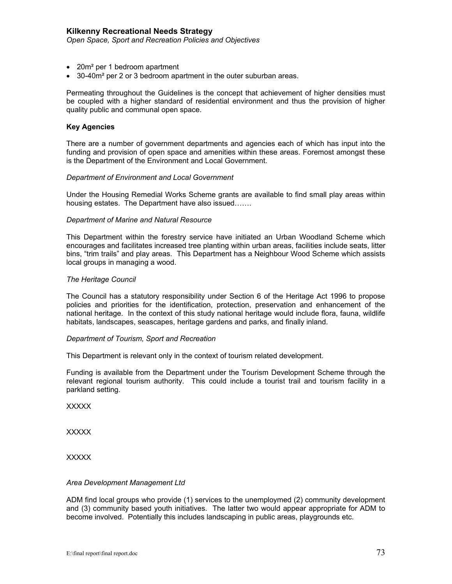*Open Space, Sport and Recreation Policies and Objectives* 

- 20m² per 1 bedroom apartment
- 30-40m² per 2 or 3 bedroom apartment in the outer suburban areas.

Permeating throughout the Guidelines is the concept that achievement of higher densities must be coupled with a higher standard of residential environment and thus the provision of higher quality public and communal open space.

### **Key Agencies**

There are a number of government departments and agencies each of which has input into the funding and provision of open space and amenities within these areas. Foremost amongst these is the Department of the Environment and Local Government.

#### *Department of Environment and Local Government*

Under the Housing Remedial Works Scheme grants are available to find small play areas within housing estates. The Department have also issued…….

#### *Department of Marine and Natural Resource*

This Department within the forestry service have initiated an Urban Woodland Scheme which encourages and facilitates increased tree planting within urban areas, facilities include seats, litter bins, "trim trails" and play areas. This Department has a Neighbour Wood Scheme which assists local groups in managing a wood.

### *The Heritage Council*

The Council has a statutory responsibility under Section 6 of the Heritage Act 1996 to propose policies and priorities for the identification, protection, preservation and enhancement of the national heritage. In the context of this study national heritage would include flora, fauna, wildlife habitats, landscapes, seascapes, heritage gardens and parks, and finally inland.

#### *Department of Tourism, Sport and Recreation*

This Department is relevant only in the context of tourism related development.

Funding is available from the Department under the Tourism Development Scheme through the relevant regional tourism authority. This could include a tourist trail and tourism facility in a parkland setting.

XXXXX

XXXXX

XXXXX

#### *Area Development Management Ltd*

ADM find local groups who provide (1) services to the unemploymed (2) community development and (3) community based youth initiatives. The latter two would appear appropriate for ADM to become involved. Potentially this includes landscaping in public areas, playgrounds etc.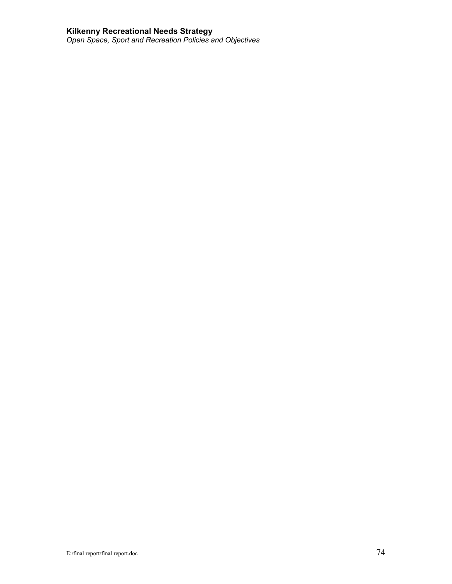*Open Space, Sport and Recreation Policies and Objectives*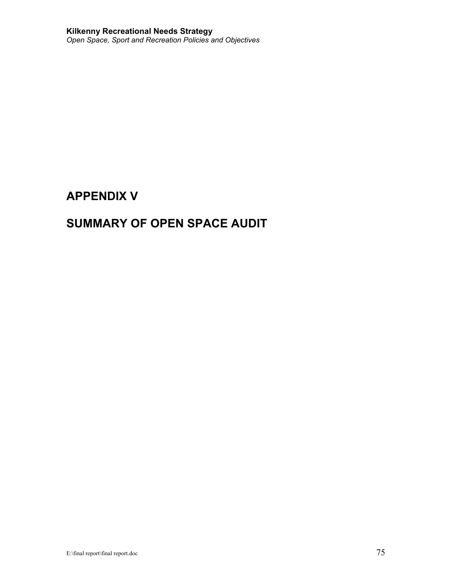*Open Space, Sport and Recreation Policies and Objectives* 

## **APPENDIX V**

## **SUMMARY OF OPEN SPACE AUDIT**